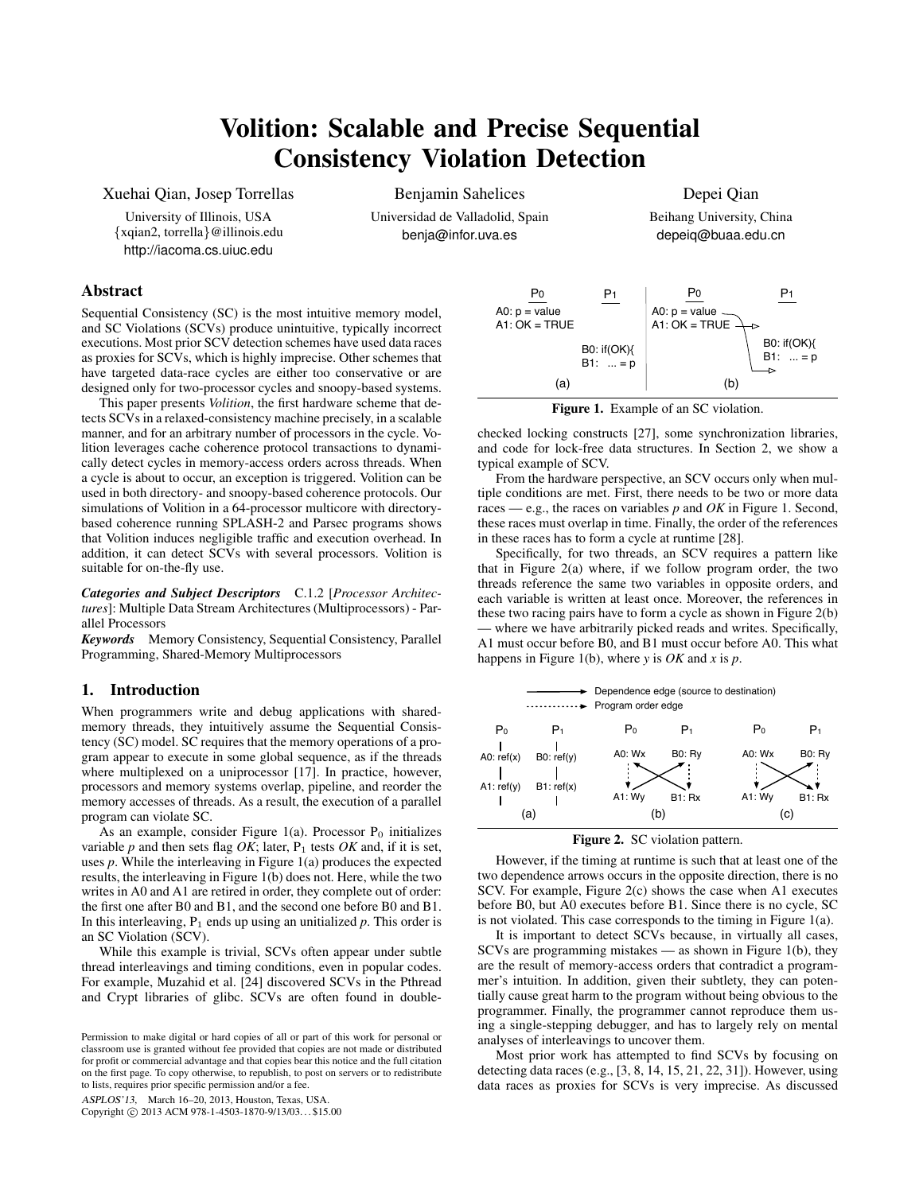# Volition: Scalable and Precise Sequential Consistency Violation Detection

Xuehai Qian, Josep Torrellas

University of Illinois, USA {xqian2, torrella}@illinois.edu http://iacoma.cs.uiuc.edu

Benjamin Sahelices

Universidad de Valladolid, Spain benja@infor.uva.es

Depei Qian Beihang University, China depeiq@buaa.edu.cn

# Abstract

Sequential Consistency (SC) is the most intuitive memory model, and SC Violations (SCVs) produce unintuitive, typically incorrect executions. Most prior SCV detection schemes have used data races as proxies for SCVs, which is highly imprecise. Other schemes that have targeted data-race cycles are either too conservative or are designed only for two-processor cycles and snoopy-based systems.

This paper presents *Volition*, the first hardware scheme that detects SCVs in a relaxed-consistency machine precisely, in a scalable manner, and for an arbitrary number of processors in the cycle. Volition leverages cache coherence protocol transactions to dynamically detect cycles in memory-access orders across threads. When a cycle is about to occur, an exception is triggered. Volition can be used in both directory- and snoopy-based coherence protocols. Our simulations of Volition in a 64-processor multicore with directorybased coherence running SPLASH-2 and Parsec programs shows that Volition induces negligible traffic and execution overhead. In addition, it can detect SCVs with several processors. Volition is suitable for on-the-fly use.

*Categories and Subject Descriptors* C.1.2 [*Processor Architectures*]: Multiple Data Stream Architectures (Multiprocessors) - Parallel Processors

*Keywords* Memory Consistency, Sequential Consistency, Parallel Programming, Shared-Memory Multiprocessors

# 1. Introduction

When programmers write and debug applications with sharedmemory threads, they intuitively assume the Sequential Consistency (SC) model. SC requires that the memory operations of a program appear to execute in some global sequence, as if the threads where multiplexed on a uniprocessor [17]. In practice, however, processors and memory systems overlap, pipeline, and reorder the memory accesses of threads. As a result, the execution of a parallel program can violate SC.

As an example, consider Figure 1(a). Processor  $P_0$  initializes variable  $p$  and then sets flag  $OK$ ; later,  $P_1$  tests  $OK$  and, if it is set, uses *p*. While the interleaving in Figure 1(a) produces the expected results, the interleaving in Figure 1(b) does not. Here, while the two writes in A0 and A1 are retired in order, they complete out of order: the first one after B0 and B1, and the second one before B0 and B1. In this interleaving,  $P_1$  ends up using an unitialized  $p$ . This order is an SC Violation (SCV).

While this example is trivial, SCVs often appear under subtle thread interleavings and timing conditions, even in popular codes. For example, Muzahid et al. [24] discovered SCVs in the Pthread and Crypt libraries of glibc. SCVs are often found in double-

Permission to make digital or hard copies of all or part of this work for personal or classroom use is granted without fee provided that copies are not made or distributed for profit or commercial advantage and that copies bear this notice and the full citation on the first page. To copy otherwise, to republish, to post on servers or to redistribute to lists, requires prior specific permission and/or a fee.

ASPLOS'13, March 16–20, 2013, Houston, Texas, USA.

Copyright (c) 2013 ACM 978-1-4503-1870-9/13/03... \$15.00



Figure 1. Example of an SC violation.

checked locking constructs [27], some synchronization libraries, and code for lock-free data structures. In Section 2, we show a typical example of SCV.

From the hardware perspective, an SCV occurs only when multiple conditions are met. First, there needs to be two or more data races — e.g., the races on variables  $p$  and  $OK$  in Figure 1. Second, these races must overlap in time. Finally, the order of the references in these races has to form a cycle at runtime [28].

Specifically, for two threads, an SCV requires a pattern like that in Figure 2(a) where, if we follow program order, the two threads reference the same two variables in opposite orders, and each variable is written at least once. Moreover, the references in these two racing pairs have to form a cycle as shown in Figure 2(b) — where we have arbitrarily picked reads and writes. Specifically, A1 must occur before B0, and B1 must occur before A0. This what happens in Figure 1(b), where *y* is *OK* and *x* is *p*.



Figure 2. SC violation pattern.

However, if the timing at runtime is such that at least one of the two dependence arrows occurs in the opposite direction, there is no SCV. For example, Figure 2(c) shows the case when A1 executes before B0, but A0 executes before B1. Since there is no cycle, SC is not violated. This case corresponds to the timing in Figure 1(a).

It is important to detect SCVs because, in virtually all cases, SCVs are programming mistakes — as shown in Figure 1(b), they are the result of memory-access orders that contradict a programmer's intuition. In addition, given their subtlety, they can potentially cause great harm to the program without being obvious to the programmer. Finally, the programmer cannot reproduce them using a single-stepping debugger, and has to largely rely on mental analyses of interleavings to uncover them.

Most prior work has attempted to find SCVs by focusing on detecting data races (e.g., [3, 8, 14, 15, 21, 22, 31]). However, using data races as proxies for SCVs is very imprecise. As discussed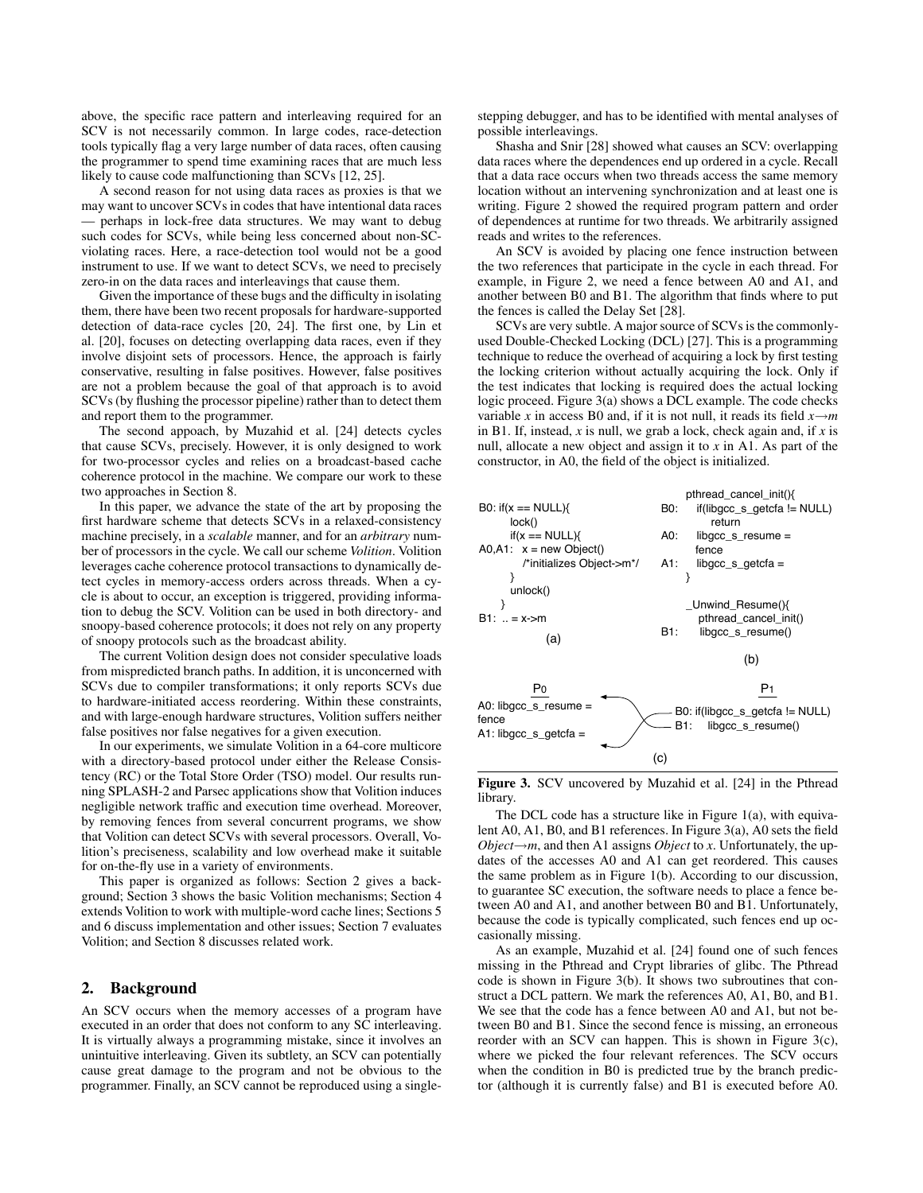above, the specific race pattern and interleaving required for an SCV is not necessarily common. In large codes, race-detection tools typically flag a very large number of data races, often causing the programmer to spend time examining races that are much less likely to cause code malfunctioning than SCVs [12, 25].

A second reason for not using data races as proxies is that we may want to uncover SCVs in codes that have intentional data races — perhaps in lock-free data structures. We may want to debug such codes for SCVs, while being less concerned about non-SCviolating races. Here, a race-detection tool would not be a good instrument to use. If we want to detect SCVs, we need to precisely zero-in on the data races and interleavings that cause them.

Given the importance of these bugs and the difficulty in isolating them, there have been two recent proposals for hardware-supported detection of data-race cycles [20, 24]. The first one, by Lin et al. [20], focuses on detecting overlapping data races, even if they involve disjoint sets of processors. Hence, the approach is fairly conservative, resulting in false positives. However, false positives are not a problem because the goal of that approach is to avoid SCVs (by flushing the processor pipeline) rather than to detect them and report them to the programmer.

The second appoach, by Muzahid et al. [24] detects cycles that cause SCVs, precisely. However, it is only designed to work for two-processor cycles and relies on a broadcast-based cache coherence protocol in the machine. We compare our work to these two approaches in Section 8.

In this paper, we advance the state of the art by proposing the first hardware scheme that detects SCVs in a relaxed-consistency machine precisely, in a *scalable* manner, and for an *arbitrary* number of processors in the cycle. We call our scheme *Volition*. Volition leverages cache coherence protocol transactions to dynamically detect cycles in memory-access orders across threads. When a cycle is about to occur, an exception is triggered, providing information to debug the SCV. Volition can be used in both directory- and snoopy-based coherence protocols; it does not rely on any property of snoopy protocols such as the broadcast ability.

The current Volition design does not consider speculative loads from mispredicted branch paths. In addition, it is unconcerned with SCVs due to compiler transformations; it only reports SCVs due to hardware-initiated access reordering. Within these constraints, and with large-enough hardware structures, Volition suffers neither false positives nor false negatives for a given execution.

In our experiments, we simulate Volition in a 64-core multicore with a directory-based protocol under either the Release Consistency (RC) or the Total Store Order (TSO) model. Our results running SPLASH-2 and Parsec applications show that Volition induces negligible network traffic and execution time overhead. Moreover, by removing fences from several concurrent programs, we show that Volition can detect SCVs with several processors. Overall, Volition's preciseness, scalability and low overhead make it suitable for on-the-fly use in a variety of environments.

This paper is organized as follows: Section 2 gives a background; Section 3 shows the basic Volition mechanisms; Section 4 extends Volition to work with multiple-word cache lines; Sections 5 and 6 discuss implementation and other issues; Section 7 evaluates Volition; and Section 8 discusses related work.

# 2. Background

An SCV occurs when the memory accesses of a program have executed in an order that does not conform to any SC interleaving. It is virtually always a programming mistake, since it involves an unintuitive interleaving. Given its subtlety, an SCV can potentially cause great damage to the program and not be obvious to the programmer. Finally, an SCV cannot be reproduced using a single-

stepping debugger, and has to be identified with mental analyses of possible interleavings.

Shasha and Snir [28] showed what causes an SCV: overlapping data races where the dependences end up ordered in a cycle. Recall that a data race occurs when two threads access the same memory location without an intervening synchronization and at least one is writing. Figure 2 showed the required program pattern and order of dependences at runtime for two threads. We arbitrarily assigned reads and writes to the references.

An SCV is avoided by placing one fence instruction between the two references that participate in the cycle in each thread. For example, in Figure 2, we need a fence between A0 and A1, and another between B0 and B1. The algorithm that finds where to put the fences is called the Delay Set [28].

SCVs are very subtle. A major source of SCVs is the commonlyused Double-Checked Locking (DCL) [27]. This is a programming technique to reduce the overhead of acquiring a lock by first testing the locking criterion without actually acquiring the lock. Only if the test indicates that locking is required does the actual locking logic proceed. Figure 3(a) shows a DCL example. The code checks variable *x* in access B0 and, if it is not null, it reads its field  $x \rightarrow m$ in B1. If, instead, *x* is null, we grab a lock, check again and, if *x* is null, allocate a new object and assign it to *x* in A1. As part of the constructor, in A0, the field of the object is initialized.





The DCL code has a structure like in Figure 1(a), with equivalent A0, A1, B0, and B1 references. In Figure 3(a), A0 sets the field *Object* $\rightarrow$ *m*, and then A1 assigns *Object* to *x*. Unfortunately, the updates of the accesses A0 and A1 can get reordered. This causes the same problem as in Figure 1(b). According to our discussion, to guarantee SC execution, the software needs to place a fence between A0 and A1, and another between B0 and B1. Unfortunately, because the code is typically complicated, such fences end up occasionally missing.

As an example, Muzahid et al. [24] found one of such fences missing in the Pthread and Crypt libraries of glibc. The Pthread code is shown in Figure 3(b). It shows two subroutines that construct a DCL pattern. We mark the references A0, A1, B0, and B1. We see that the code has a fence between A0 and A1, but not between B0 and B1. Since the second fence is missing, an erroneous reorder with an SCV can happen. This is shown in Figure 3(c), where we picked the four relevant references. The SCV occurs when the condition in B0 is predicted true by the branch predictor (although it is currently false) and B1 is executed before A0.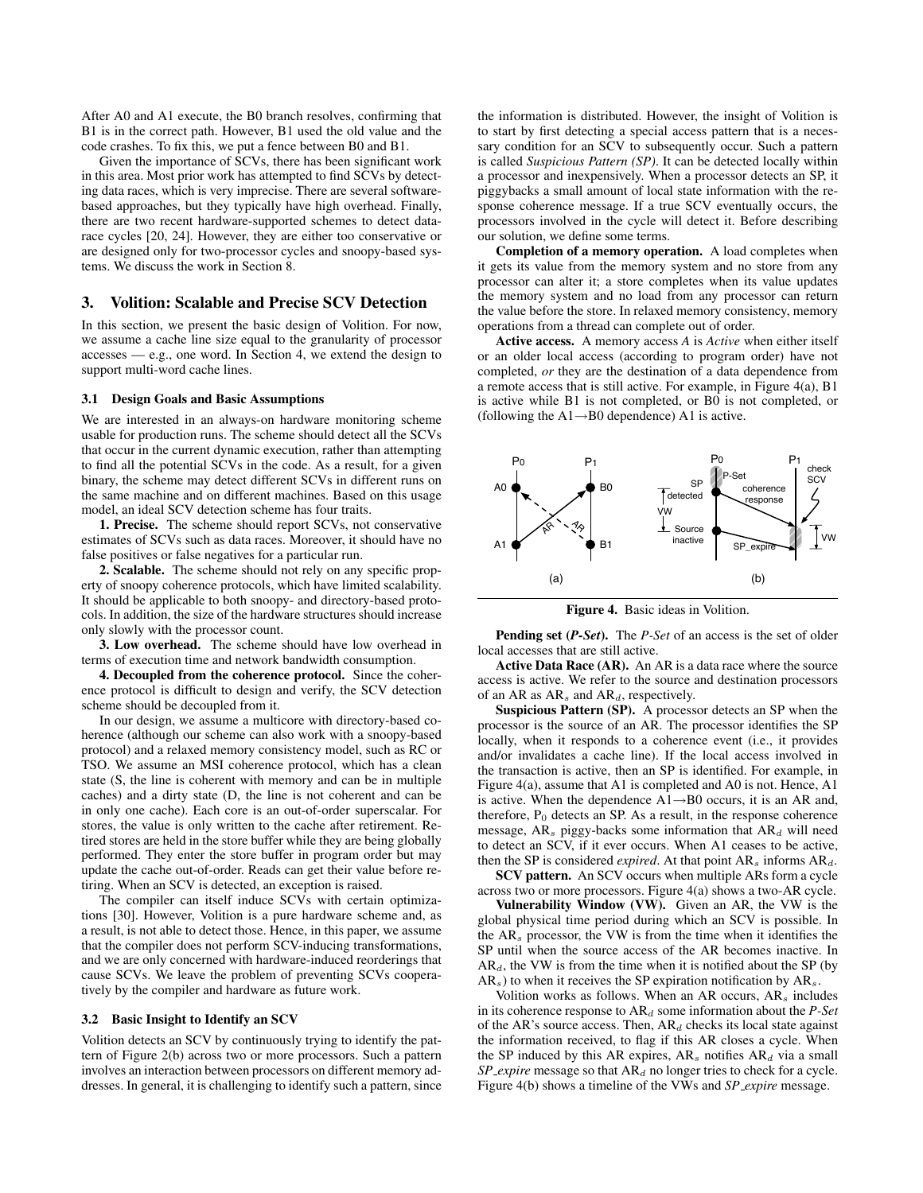After A0 and A1 execute, the B0 branch resolves, confirming that B1 is in the correct path. However, B1 used the old value and the code crashes. To fix this, we put a fence between B0 and B1.

Given the importance of SCVs, there has been significant work in this area. Most prior work has attempted to find SCVs by detecting data races, which is very imprecise. There are several softwarebased approaches, but they typically have high overhead. Finally, there are two recent hardware-supported schemes to detect datarace cycles [20, 24]. However, they are either too conservative or are designed only for two-processor cycles and snoopy-based systems. We discuss the work in Section 8.

# 3. Volition: Scalable and Precise SCV Detection

In this section, we present the basic design of Volition. For now, we assume a cache line size equal to the granularity of processor accesses — e.g., one word. In Section 4, we extend the design to support multi-word cache lines.

#### 3.1 Design Goals and Basic Assumptions

We are interested in an always-on hardware monitoring scheme usable for production runs. The scheme should detect all the SCVs that occur in the current dynamic execution, rather than attempting to find all the potential SCVs in the code. As a result, for a given binary, the scheme may detect different SCVs in different runs on the same machine and on different machines. Based on this usage model, an ideal SCV detection scheme has four traits.

1. Precise. The scheme should report SCVs, not conservative estimates of SCVs such as data races. Moreover, it should have no false positives or false negatives for a particular run.

2. Scalable. The scheme should not rely on any specific property of snoopy coherence protocols, which have limited scalability. It should be applicable to both snoopy- and directory-based protocols. In addition, the size of the hardware structures should increase only slowly with the processor count.

3. Low overhead. The scheme should have low overhead in terms of execution time and network bandwidth consumption.

4. Decoupled from the coherence protocol. Since the coherence protocol is difficult to design and verify, the SCV detection scheme should be decoupled from it.

In our design, we assume a multicore with directory-based coherence (although our scheme can also work with a snoopy-based protocol) and a relaxed memory consistency model, such as RC or TSO. We assume an MSI coherence protocol, which has a clean state (S, the line is coherent with memory and can be in multiple caches) and a dirty state (D, the line is not coherent and can be in only one cache). Each core is an out-of-order superscalar. For stores, the value is only written to the cache after retirement. Retired stores are held in the store buffer while they are being globally performed. They enter the store buffer in program order but may update the cache out-of-order. Reads can get their value before retiring. When an SCV is detected, an exception is raised.

The compiler can itself induce SCVs with certain optimizations [30]. However, Volition is a pure hardware scheme and, as a result, is not able to detect those. Hence, in this paper, we assume that the compiler does not perform SCV-inducing transformations, and we are only concerned with hardware-induced reorderings that cause SCVs. We leave the problem of preventing SCVs cooperatively by the compiler and hardware as future work.

#### 3.2 Basic Insight to Identify an SCV

Volition detects an SCV by continuously trying to identify the pattern of Figure 2(b) across two or more processors. Such a pattern involves an interaction between processors on different memory addresses. In general, it is challenging to identify such a pattern, since the information is distributed. However, the insight of Volition is to start by first detecting a special access pattern that is a necessary condition for an SCV to subsequently occur. Such a pattern is called *Suspicious Pattern (SP)*. It can be detected locally within a processor and inexpensively. When a processor detects an SP, it piggybacks a small amount of local state information with the response coherence message. If a true SCV eventually occurs, the processors involved in the cycle will detect it. Before describing our solution, we define some terms.

Completion of a memory operation. A load completes when it gets its value from the memory system and no store from any processor can alter it; a store completes when its value updates the memory system and no load from any processor can return the value before the store. In relaxed memory consistency, memory operations from a thread can complete out of order.

Active access. A memory access *A* is *Active* when either itself or an older local access (according to program order) have not completed, *or* they are the destination of a data dependence from a remote access that is still active. For example, in Figure 4(a), B1 is active while B1 is not completed, or B0 is not completed, or (following the  $A1 \rightarrow B0$  dependence) A1 is active.



Figure 4. Basic ideas in Volition.

Pending set (*P-Set*). The *P-Set* of an access is the set of older local accesses that are still active.

Active Data Race (AR). An AR is a data race where the source access is active. We refer to the source and destination processors of an AR as  $AR_s$  and  $AR_d$ , respectively.

Suspicious Pattern (SP). A processor detects an SP when the processor is the source of an AR. The processor identifies the SP locally, when it responds to a coherence event (i.e., it provides and/or invalidates a cache line). If the local access involved in the transaction is active, then an SP is identified. For example, in Figure 4(a), assume that A1 is completed and A0 is not. Hence, A1 is active. When the dependence  $A1 \rightarrow B0$  occurs, it is an AR and, therefore,  $P_0$  detects an SP. As a result, in the response coherence message,  $AR_s$  piggy-backs some information that  $AR_d$  will need to detect an SCV, if it ever occurs. When A1 ceases to be active, then the SP is considered *expired*. At that point  $AR_s$  informs  $AR_d$ .

SCV pattern. An SCV occurs when multiple ARs form a cycle across two or more processors. Figure 4(a) shows a two-AR cycle.

Vulnerability Window (VW). Given an AR, the VW is the global physical time period during which an SCV is possible. In the AR<sup>s</sup> processor, the VW is from the time when it identifies the SP until when the source access of the AR becomes inactive. In  $AR_d$ , the VW is from the time when it is notified about the SP (by  $AR<sub>s</sub>$ ) to when it receives the SP expiration notification by  $AR<sub>s</sub>$ .

Volition works as follows. When an AR occurs,  $AR_s$  includes in its coherence response to  $AR_d$  some information about the  $P\text{-}Set$ of the AR's source access. Then,  $AR_d$  checks its local state against the information received, to flag if this AR closes a cycle. When the SP induced by this AR expires,  $AR_s$  notifies  $AR_d$  via a small  $SP$  *expire* message so that  $AR_d$  no longer tries to check for a cycle. Figure 4(b) shows a timeline of the VWs and *SP expire* message.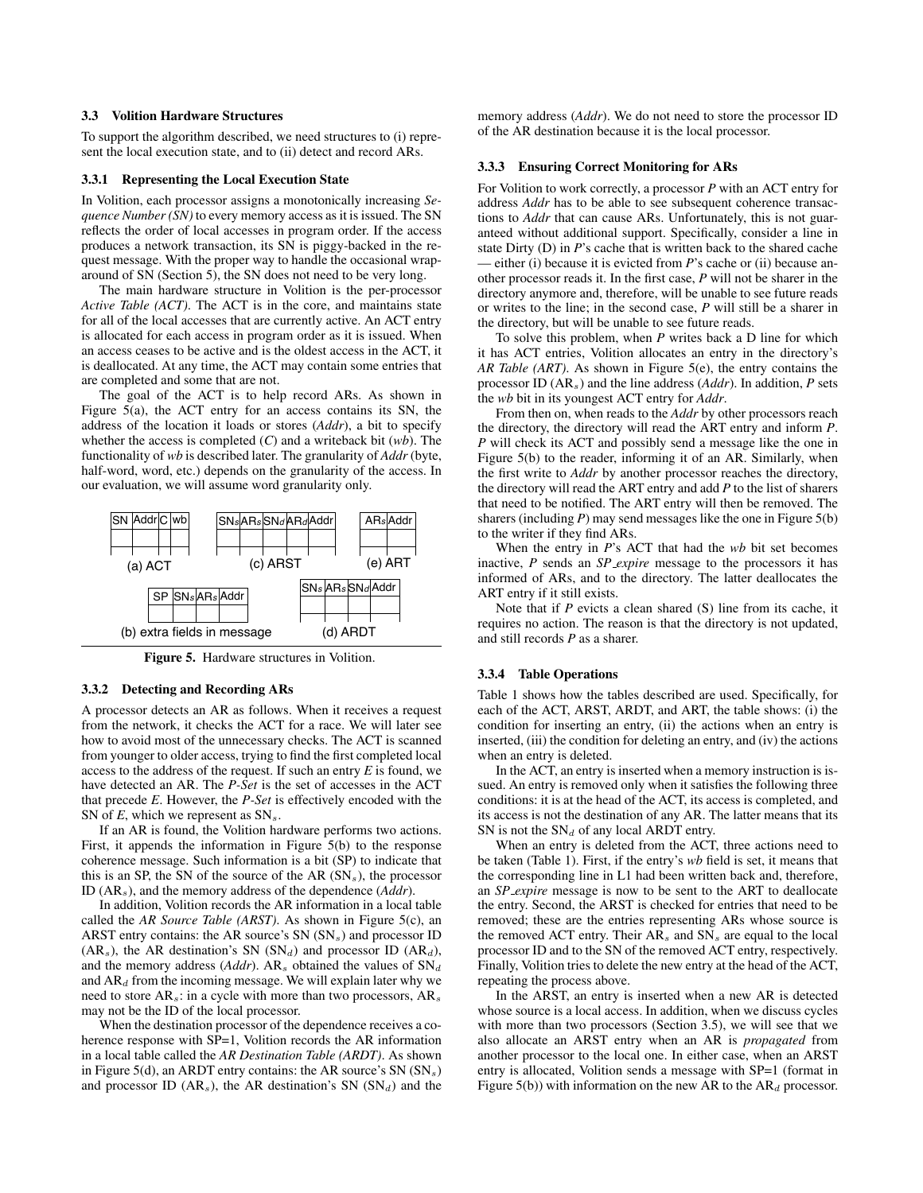## 3.3 Volition Hardware Structures

To support the algorithm described, we need structures to (i) represent the local execution state, and to (ii) detect and record ARs.

# 3.3.1 Representing the Local Execution State

In Volition, each processor assigns a monotonically increasing *Sequence Number (SN)* to every memory access as it is issued. The SN reflects the order of local accesses in program order. If the access produces a network transaction, its SN is piggy-backed in the request message. With the proper way to handle the occasional wraparound of SN (Section 5), the SN does not need to be very long.

The main hardware structure in Volition is the per-processor *Active Table (ACT)*. The ACT is in the core, and maintains state for all of the local accesses that are currently active. An ACT entry is allocated for each access in program order as it is issued. When an access ceases to be active and is the oldest access in the ACT, it is deallocated. At any time, the ACT may contain some entries that are completed and some that are not.

The goal of the ACT is to help record ARs. As shown in Figure 5(a), the ACT entry for an access contains its SN, the address of the location it loads or stores (*Addr*), a bit to specify whether the access is completed (*C*) and a writeback bit (*wb*). The functionality of *wb* is described later. The granularity of *Addr* (byte, half-word, word, etc.) depends on the granularity of the access. In our evaluation, we will assume word granularity only.



Figure 5. Hardware structures in Volition.

## 3.3.2 Detecting and Recording ARs

A processor detects an AR as follows. When it receives a request from the network, it checks the ACT for a race. We will later see how to avoid most of the unnecessary checks. The ACT is scanned from younger to older access, trying to find the first completed local access to the address of the request. If such an entry *E* is found, we have detected an AR. The *P-Set* is the set of accesses in the ACT that precede *E*. However, the *P-Set* is effectively encoded with the SN of  $E$ , which we represent as  $SN_s$ .

If an AR is found, the Volition hardware performs two actions. First, it appends the information in Figure 5(b) to the response coherence message. Such information is a bit (SP) to indicate that this is an SP, the SN of the source of the AR  $(SN<sub>s</sub>)$ , the processor ID (ARs), and the memory address of the dependence (*Addr*).

In addition, Volition records the AR information in a local table called the *AR Source Table (ARST)*. As shown in Figure 5(c), an ARST entry contains: the AR source's  $SN(SN<sub>s</sub>)$  and processor ID  $(AR<sub>s</sub>)$ , the AR destination's SN  $(SN<sub>d</sub>)$  and processor ID  $(AR<sub>d</sub>)$ , and the memory address ( $Addr$ ). AR<sub>s</sub> obtained the values of  $SN<sub>d</sub>$ and  $AR_d$  from the incoming message. We will explain later why we need to store  $AR_s$ : in a cycle with more than two processors,  $AR_s$ may not be the ID of the local processor.

When the destination processor of the dependence receives a coherence response with SP=1, Volition records the AR information in a local table called the *AR Destination Table (ARDT)*. As shown in Figure 5(d), an ARDT entry contains: the AR source's  $SN(SN<sub>s</sub>)$ and processor ID ( $AR_s$ ), the AR destination's SN ( $SN_d$ ) and the memory address (*Addr*). We do not need to store the processor ID of the AR destination because it is the local processor.

## 3.3.3 Ensuring Correct Monitoring for ARs

For Volition to work correctly, a processor *P* with an ACT entry for address *Addr* has to be able to see subsequent coherence transactions to *Addr* that can cause ARs. Unfortunately, this is not guaranteed without additional support. Specifically, consider a line in state Dirty (D) in *P*'s cache that is written back to the shared cache — either (i) because it is evicted from *P*'s cache or (ii) because another processor reads it. In the first case, *P* will not be sharer in the directory anymore and, therefore, will be unable to see future reads or writes to the line; in the second case, *P* will still be a sharer in the directory, but will be unable to see future reads.

To solve this problem, when *P* writes back a D line for which it has ACT entries, Volition allocates an entry in the directory's *AR Table (ART)*. As shown in Figure 5(e), the entry contains the processor ID (ARs) and the line address (*Addr*). In addition, *P* sets the *wb* bit in its youngest ACT entry for *Addr*.

From then on, when reads to the *Addr* by other processors reach the directory, the directory will read the ART entry and inform *P*. *P* will check its ACT and possibly send a message like the one in Figure 5(b) to the reader, informing it of an AR. Similarly, when the first write to *Addr* by another processor reaches the directory, the directory will read the ART entry and add *P* to the list of sharers that need to be notified. The ART entry will then be removed. The sharers (including *P*) may send messages like the one in Figure 5(b) to the writer if they find ARs.

When the entry in *P*'s ACT that had the *wb* bit set becomes inactive, *P* sends an *SP expire* message to the processors it has informed of ARs, and to the directory. The latter deallocates the ART entry if it still exists.

Note that if *P* evicts a clean shared (S) line from its cache, it requires no action. The reason is that the directory is not updated, and still records *P* as a sharer.

#### 3.3.4 Table Operations

Table 1 shows how the tables described are used. Specifically, for each of the ACT, ARST, ARDT, and ART, the table shows: (i) the condition for inserting an entry, (ii) the actions when an entry is inserted, (iii) the condition for deleting an entry, and (iv) the actions when an entry is deleted.

In the ACT, an entry is inserted when a memory instruction is issued. An entry is removed only when it satisfies the following three conditions: it is at the head of the ACT, its access is completed, and its access is not the destination of any AR. The latter means that its SN is not the  $SN_d$  of any local ARDT entry.

When an entry is deleted from the ACT, three actions need to be taken (Table 1). First, if the entry's *wb* field is set, it means that the corresponding line in L1 had been written back and, therefore, an *SP expire* message is now to be sent to the ART to deallocate the entry. Second, the ARST is checked for entries that need to be removed; these are the entries representing ARs whose source is the removed ACT entry. Their  $AR_s$  and  $SN_s$  are equal to the local processor ID and to the SN of the removed ACT entry, respectively. Finally, Volition tries to delete the new entry at the head of the ACT, repeating the process above.

In the ARST, an entry is inserted when a new AR is detected whose source is a local access. In addition, when we discuss cycles with more than two processors (Section 3.5), we will see that we also allocate an ARST entry when an AR is *propagated* from another processor to the local one. In either case, when an ARST entry is allocated, Volition sends a message with SP=1 (format in Figure 5(b)) with information on the new AR to the  $AR_d$  processor.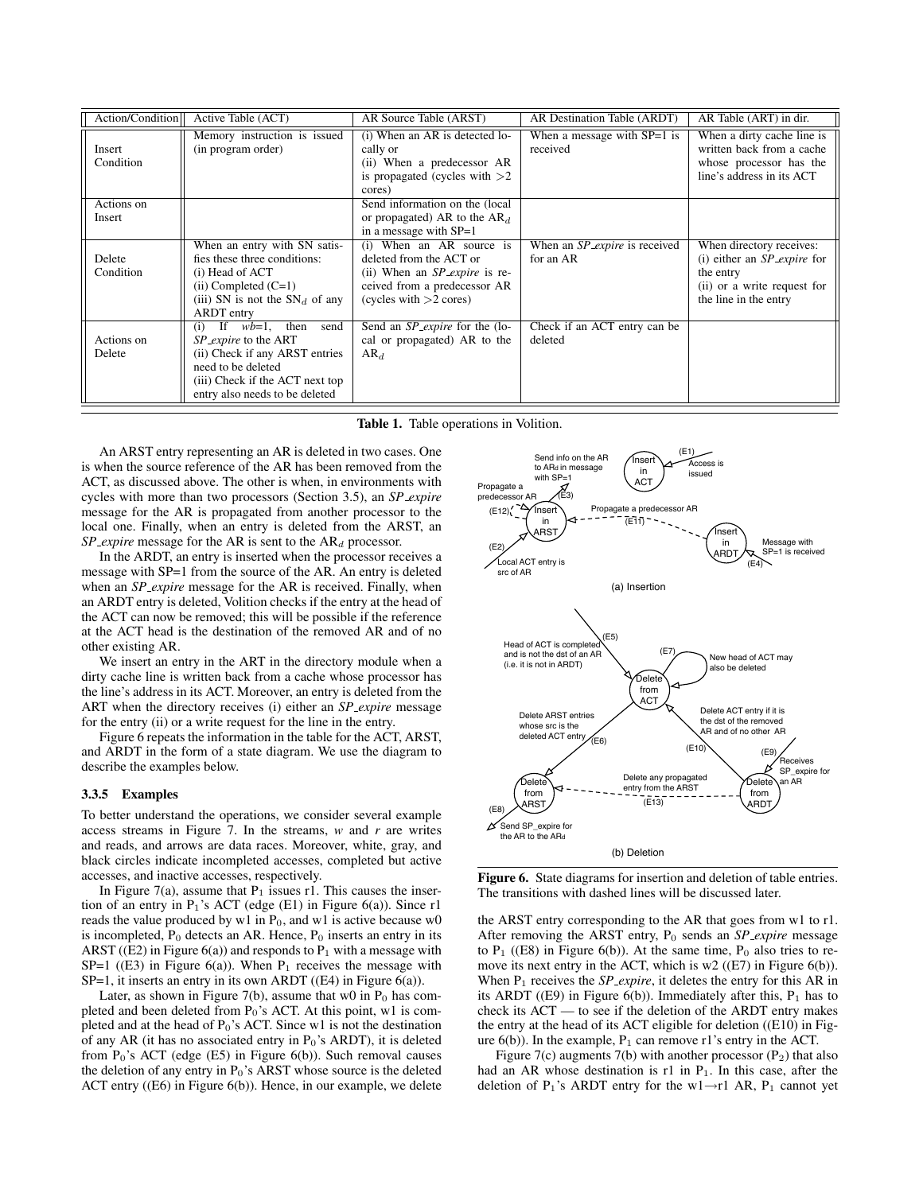| Action/Condition     | Active Table (ACT)                                                                                                                                                                   | AR Source Table (ARST)                                                                                                                                 | AR Destination Table (ARDT)                       | AR Table (ART) in dir.                                                                                                          |
|----------------------|--------------------------------------------------------------------------------------------------------------------------------------------------------------------------------------|--------------------------------------------------------------------------------------------------------------------------------------------------------|---------------------------------------------------|---------------------------------------------------------------------------------------------------------------------------------|
| Insert<br>Condition  | Memory instruction is issued<br>(in program order)                                                                                                                                   | (i) When an AR is detected lo-<br>cally or<br>(ii) When a predecessor AR<br>is propagated (cycles with $>2$<br>cores)                                  | When a message with $SP=1$ is<br>received         | When a dirty cache line is<br>written back from a cache<br>whose processor has the<br>line's address in its ACT                 |
| Actions on<br>Insert |                                                                                                                                                                                      | Send information on the (local<br>or propagated) AR to the $AR_d$<br>in a message with $SP=1$                                                          |                                                   |                                                                                                                                 |
| Delete<br>Condition  | When an entry with SN satis-<br>fies these three conditions:<br>(i) Head of ACT<br>$(ii)$ Completed $(C=1)$<br>(iii) SN is not the $SN_d$ of any<br><b>ARDT</b> entry                | When an AR source is<br>(i)<br>deleted from the ACT or<br>(ii) When an $SP\_expire$ is re-<br>ceived from a predecessor AR<br>(cycles with $>2$ cores) | When an <i>SP_expire</i> is received<br>for an AR | When directory receives:<br>(i) either an $SP\_expire$ for<br>the entry<br>(ii) or a write request for<br>the line in the entry |
| Actions on<br>Delete | If $wb=1$ , then<br>send<br>(i)<br>SP_expire to the ART<br>(ii) Check if any ARST entries<br>need to be deleted<br>(iii) Check if the ACT next top<br>entry also needs to be deleted | Send an <i>SP_expire</i> for the (lo-<br>cal or propagated) AR to the<br>$AR_d$                                                                        | Check if an ACT entry can be<br>deleted           |                                                                                                                                 |

Table 1. Table operations in Volition.

An ARST entry representing an AR is deleted in two cases. One is when the source reference of the AR has been removed from the ACT, as discussed above. The other is when, in environments with cycles with more than two processors (Section 3.5), an *SP expire* message for the AR is propagated from another processor to the local one. Finally, when an entry is deleted from the ARST, an *SP expire* message for the AR is sent to the  $AR_d$  processor.

In the ARDT, an entry is inserted when the processor receives a message with SP=1 from the source of the AR. An entry is deleted when an *SP\_expire* message for the AR is received. Finally, when an ARDT entry is deleted, Volition checks if the entry at the head of the ACT can now be removed; this will be possible if the reference at the ACT head is the destination of the removed AR and of no other existing AR.

We insert an entry in the ART in the directory module when a dirty cache line is written back from a cache whose processor has the line's address in its ACT. Moreover, an entry is deleted from the ART when the directory receives (i) either an *SP expire* message for the entry (ii) or a write request for the line in the entry.

Figure 6 repeats the information in the table for the ACT, ARST, and ARDT in the form of a state diagram. We use the diagram to describe the examples below.

## 3.3.5 Examples

To better understand the operations, we consider several example access streams in Figure 7. In the streams, *w* and *r* are writes and reads, and arrows are data races. Moreover, white, gray, and black circles indicate incompleted accesses, completed but active accesses, and inactive accesses, respectively.

In Figure 7(a), assume that  $P_1$  issues r1. This causes the insertion of an entry in  $P_1$ 's ACT (edge (E1) in Figure 6(a)). Since r1 reads the value produced by w1 in  $P_0$ , and w1 is active because w0 is incompleted,  $P_0$  detects an AR. Hence,  $P_0$  inserts an entry in its ARST ((E2) in Figure 6(a)) and responds to  $P_1$  with a message with SP=1 ( $(E3)$  in Figure 6(a)). When P<sub>1</sub> receives the message with  $SP=1$ , it inserts an entry in its own ARDT ((E4) in Figure 6(a)).

Later, as shown in Figure 7(b), assume that w0 in  $P_0$  has completed and been deleted from P<sub>0</sub>'s ACT. At this point, w1 is completed and at the head of  $P_0$ 's ACT. Since w1 is not the destination of any AR (it has no associated entry in  $P_0$ 's ARDT), it is deleted from  $P_0$ 's ACT (edge (E5) in Figure 6(b)). Such removal causes the deletion of any entry in  $P_0$ 's ARST whose source is the deleted ACT entry ((E6) in Figure 6(b)). Hence, in our example, we delete



Figure 6. State diagrams for insertion and deletion of table entries. The transitions with dashed lines will be discussed later.

the ARST entry corresponding to the AR that goes from w1 to r1. After removing the ARST entry, P<sub>0</sub> sends an *SP\_expire* message to  $P_1$  ((E8) in Figure 6(b)). At the same time,  $P_0$  also tries to remove its next entry in the ACT, which is  $w2$  ((E7) in Figure 6(b)). When P<sub>1</sub> receives the *SP\_expire*, it deletes the entry for this AR in its ARDT ((E9) in Figure 6(b)). Immediately after this,  $P_1$  has to check its ACT — to see if the deletion of the ARDT entry makes the entry at the head of its ACT eligible for deletion ((E10) in Figure  $6(b)$ ). In the example,  $P_1$  can remove r1's entry in the ACT.

Figure 7(c) augments 7(b) with another processor  $(P_2)$  that also had an AR whose destination is  $r1$  in  $P_1$ . In this case, after the deletion of P<sub>1</sub>'s ARDT entry for the w1→r1 AR, P<sub>1</sub> cannot yet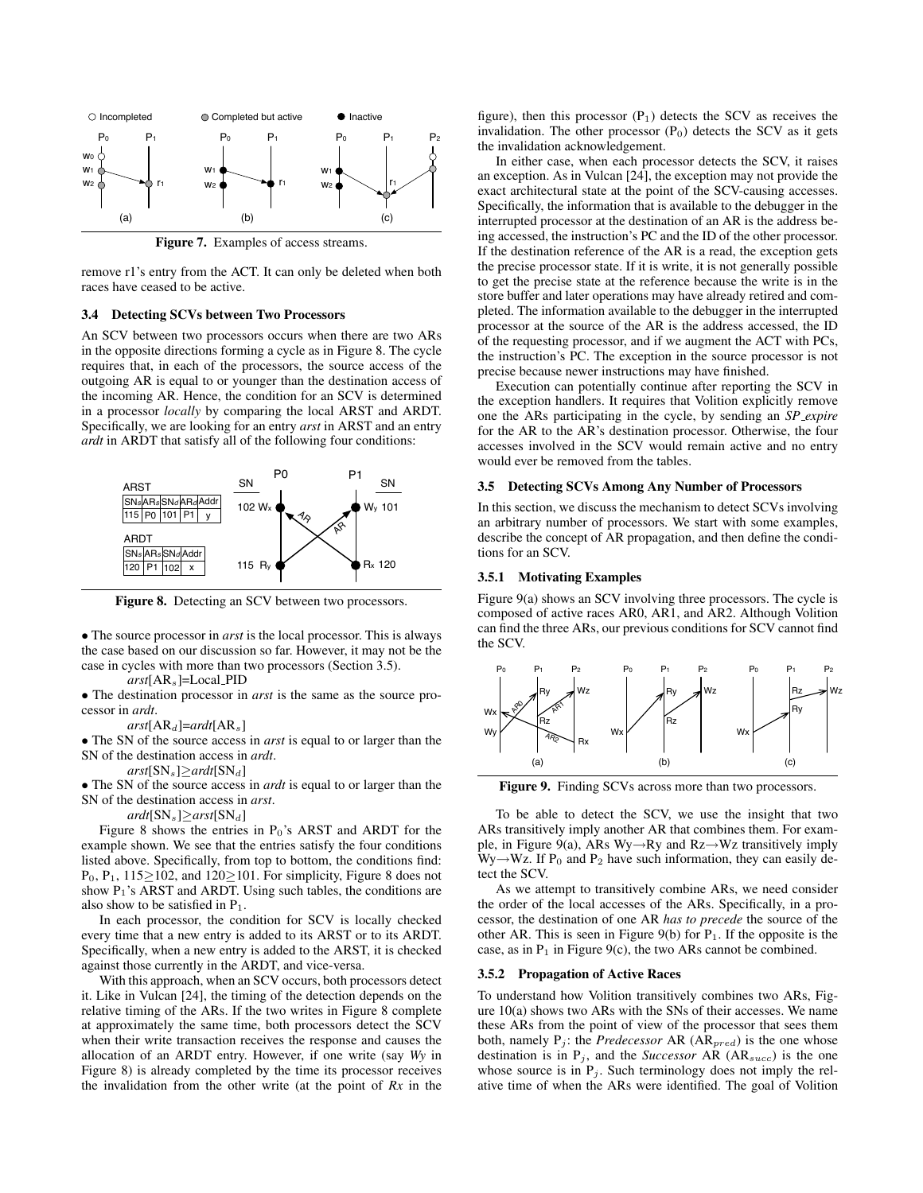

Figure 7. Examples of access streams.

remove r1's entry from the ACT. It can only be deleted when both races have ceased to be active.

## 3.4 Detecting SCVs between Two Processors

An SCV between two processors occurs when there are two ARs in the opposite directions forming a cycle as in Figure 8. The cycle requires that, in each of the processors, the source access of the outgoing AR is equal to or younger than the destination access of the incoming AR. Hence, the condition for an SCV is determined in a processor *locally* by comparing the local ARST and ARDT. Specifically, we are looking for an entry *arst* in ARST and an entry *ardt* in ARDT that satisfy all of the following four conditions:



Figure 8. Detecting an SCV between two processors.

• The source processor in *arst* is the local processor. This is always the case based on our discussion so far. However, it may not be the case in cycles with more than two processors (Section 3.5).

*arst*[ARs]=Local PID

• The destination processor in *arst* is the same as the source processor in *ardt*.

 $arst[AR_d]=ardt[AR_s]$ 

• The SN of the source access in *arst* is equal to or larger than the SN of the destination access in *ardt*.

*arst*[SN<sub>s</sub>]≥*ardt*[SN<sub>d</sub>]

• The SN of the source access in *ardt* is equal to or larger than the SN of the destination access in *arst*.

 $ardt$ [SN<sub>s</sub>]≥*arst*[SN<sub>d</sub>]

Figure 8 shows the entries in  $P_0$ 's ARST and ARDT for the example shown. We see that the entries satisfy the four conditions listed above. Specifically, from top to bottom, the conditions find:  $P_0$ ,  $P_1$ , 115>102, and 120>101. For simplicity, Figure 8 does not show  $P_1$ 's ARST and ARDT. Using such tables, the conditions are also show to be satisfied in  $P_1$ .

In each processor, the condition for SCV is locally checked every time that a new entry is added to its ARST or to its ARDT. Specifically, when a new entry is added to the ARST, it is checked against those currently in the ARDT, and vice-versa.

With this approach, when an SCV occurs, both processors detect it. Like in Vulcan [24], the timing of the detection depends on the relative timing of the ARs. If the two writes in Figure 8 complete at approximately the same time, both processors detect the SCV when their write transaction receives the response and causes the allocation of an ARDT entry. However, if one write (say *Wy* in Figure 8) is already completed by the time its processor receives the invalidation from the other write (at the point of *Rx* in the

figure), then this processor  $(P_1)$  detects the SCV as receives the invalidation. The other processor  $(P_0)$  detects the SCV as it gets the invalidation acknowledgement.

In either case, when each processor detects the SCV, it raises an exception. As in Vulcan [24], the exception may not provide the exact architectural state at the point of the SCV-causing accesses. Specifically, the information that is available to the debugger in the interrupted processor at the destination of an AR is the address being accessed, the instruction's PC and the ID of the other processor. If the destination reference of the AR is a read, the exception gets the precise processor state. If it is write, it is not generally possible to get the precise state at the reference because the write is in the store buffer and later operations may have already retired and completed. The information available to the debugger in the interrupted processor at the source of the AR is the address accessed, the ID of the requesting processor, and if we augment the ACT with PCs, the instruction's PC. The exception in the source processor is not precise because newer instructions may have finished.

Execution can potentially continue after reporting the SCV in the exception handlers. It requires that Volition explicitly remove one the ARs participating in the cycle, by sending an *SP expire* for the AR to the AR's destination processor. Otherwise, the four accesses involved in the SCV would remain active and no entry would ever be removed from the tables.

## 3.5 Detecting SCVs Among Any Number of Processors

In this section, we discuss the mechanism to detect SCVs involving an arbitrary number of processors. We start with some examples, describe the concept of AR propagation, and then define the conditions for an SCV.

#### 3.5.1 Motivating Examples

Figure 9(a) shows an SCV involving three processors. The cycle is composed of active races AR0, AR1, and AR2. Although Volition can find the three ARs, our previous conditions for SCV cannot find the SCV.



Figure 9. Finding SCVs across more than two processors.

To be able to detect the SCV, we use the insight that two ARs transitively imply another AR that combines them. For example, in Figure 9(a), ARs Wy→Ry and Rz→Wz transitively imply  $Wy \rightarrow Wz$ . If P<sub>0</sub> and P<sub>2</sub> have such information, they can easily detect the SCV.

As we attempt to transitively combine ARs, we need consider the order of the local accesses of the ARs. Specifically, in a processor, the destination of one AR *has to precede* the source of the other AR. This is seen in Figure 9(b) for  $P_1$ . If the opposite is the case, as in  $P_1$  in Figure 9(c), the two ARs cannot be combined.

#### 3.5.2 Propagation of Active Races

To understand how Volition transitively combines two ARs, Figure 10(a) shows two ARs with the SNs of their accesses. We name these ARs from the point of view of the processor that sees them both, namely  $P_j$ : the *Predecessor* AR (AR<sub>pred</sub>) is the one whose destination is in  $P_j$ , and the *Successor* AR (AR<sub>succ</sub>) is the one whose source is in  $P_i$ . Such terminology does not imply the relative time of when the ARs were identified. The goal of Volition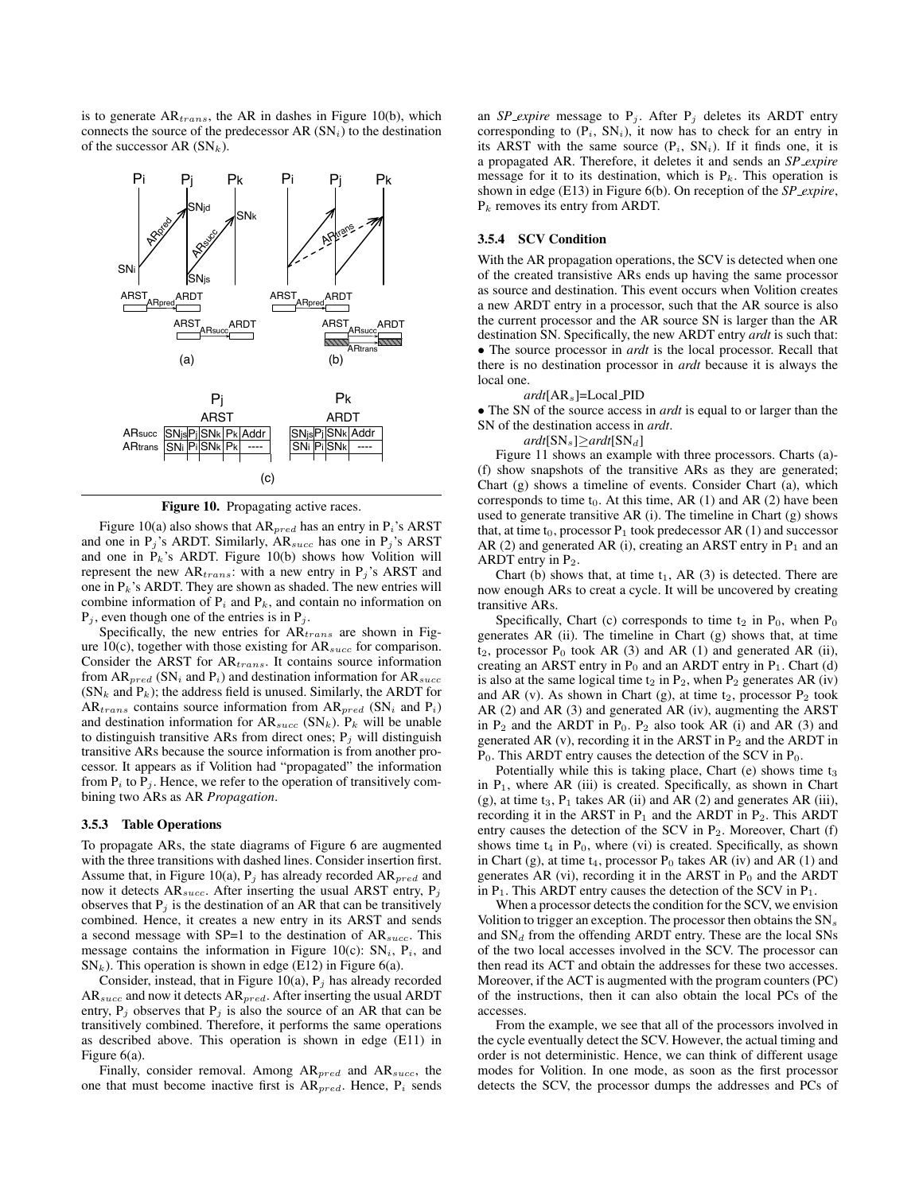is to generate  $AR_{trans}$ , the AR in dashes in Figure 10(b), which connects the source of the predecessor  $AR(SN_i)$  to the destination of the successor AR  $(SN_k)$ .



Figure 10. Propagating active races.

Figure 10(a) also shows that  $AR_{pred}$  has an entry in  $P_i$ 's ARST and one in  $P_j$ 's ARDT. Similarly, AR<sub>succ</sub> has one in  $P_j$ 's ARST and one in  $P_k$ 's ARDT. Figure 10(b) shows how Volition will represent the new  $AR_{trans}$ : with a new entry in  $P_i$ 's ARST and one in  $P_k$ 's ARDT. They are shown as shaded. The new entries will combine information of  $P_i$  and  $P_k$ , and contain no information on  $P_i$ , even though one of the entries is in  $P_i$ .

Specifically, the new entries for  $AR_{trans}$  are shown in Figure 10(c), together with those existing for  $AR_{succ}$  for comparison. Consider the ARST for  $AR_{trans}$ . It contains source information from  $AR_{pred}$  (SN<sub>i</sub> and P<sub>i</sub>) and destination information for  $AR_{succ}$  $(SN_k$  and  $P_k$ ); the address field is unused. Similarly, the ARDT for  $AR_{trans}$  contains source information from  $AR_{pred}$  (SN<sub>i</sub> and P<sub>i</sub>) and destination information for  $AR_{succ}$  (SN<sub>k</sub>). P<sub>k</sub> will be unable to distinguish transitive ARs from direct ones;  $P_i$  will distinguish transitive ARs because the source information is from another processor. It appears as if Volition had "propagated" the information from  $P_i$  to  $P_j$ . Hence, we refer to the operation of transitively combining two ARs as AR *Propagation*.

#### 3.5.3 Table Operations

To propagate ARs, the state diagrams of Figure 6 are augmented with the three transitions with dashed lines. Consider insertion first. Assume that, in Figure 10(a),  $P_j$  has already recorded AR<sub>pred</sub> and now it detects  $AR_{succ}$ . After inserting the usual ARST entry,  $P_i$ observes that  $P_i$  is the destination of an AR that can be transitively combined. Hence, it creates a new entry in its ARST and sends a second message with SP=1 to the destination of  $AR_{succ}$ . This message contains the information in Figure 10(c):  $SN_i$ ,  $P_i$ , and  $SN_k$ ). This operation is shown in edge (E12) in Figure 6(a).

Consider, instead, that in Figure 10(a),  $P_j$  has already recorded  $AR_{succ}$  and now it detects  $AR_{pred}$ . After inserting the usual ARDT entry,  $P_j$  observes that  $P_j$  is also the source of an AR that can be transitively combined. Therefore, it performs the same operations as described above. This operation is shown in edge (E11) in Figure 6(a).

Finally, consider removal. Among  $AR_{pred}$  and  $AR_{succ}$ , the one that must become inactive first is  $AR_{pred}$ . Hence,  $P_i$  sends an *SP expire* message to  $P_j$ . After  $P_j$  deletes its ARDT entry corresponding to  $(P_i, SN_i)$ , it now has to check for an entry in its ARST with the same source  $(P_i, SN_i)$ . If it finds one, it is a propagated AR. Therefore, it deletes it and sends an *SP expire* message for it to its destination, which is  $P_k$ . This operation is shown in edge (E13) in Figure 6(b). On reception of the *SP expire*,  $P_k$  removes its entry from ARDT.

# 3.5.4 SCV Condition

With the AR propagation operations, the SCV is detected when one of the created transistive ARs ends up having the same processor as source and destination. This event occurs when Volition creates a new ARDT entry in a processor, such that the AR source is also the current processor and the AR source SN is larger than the AR destination SN. Specifically, the new ARDT entry *ardt* is such that: • The source processor in *ardt* is the local processor. Recall that there is no destination processor in *ardt* because it is always the local one.

*ardt*[ARs]=Local PID

• The SN of the source access in *ardt* is equal to or larger than the SN of the destination access in *ardt*.

 $ardt$ [SN<sub>s</sub>]≥*ardt*[SN<sub>d</sub>]

Figure 11 shows an example with three processors. Charts (a)- (f) show snapshots of the transitive ARs as they are generated; Chart (g) shows a timeline of events. Consider Chart (a), which corresponds to time  $t_0$ . At this time, AR (1) and AR (2) have been used to generate transitive AR (i). The timeline in Chart (g) shows that, at time  $t_0$ , processor  $P_1$  took predecessor AR (1) and successor AR (2) and generated AR (i), creating an ARST entry in  $P_1$  and an ARDT entry in  $P_2$ .

Chart (b) shows that, at time  $t_1$ , AR (3) is detected. There are now enough ARs to creat a cycle. It will be uncovered by creating transitive ARs.

Specifically, Chart (c) corresponds to time  $t_2$  in  $P_0$ , when  $P_0$ generates AR (ii). The timeline in Chart (g) shows that, at time  $t_2$ , processor  $P_0$  took AR (3) and AR (1) and generated AR (ii), creating an ARST entry in  $P_0$  and an ARDT entry in  $P_1$ . Chart (d) is also at the same logical time  $t_2$  in  $P_2$ , when  $P_2$  generates AR (iv) and AR (v). As shown in Chart (g), at time  $t_2$ , processor  $P_2$  took AR (2) and AR (3) and generated AR (iv), augmenting the ARST in  $P_2$  and the ARDT in  $P_0$ .  $P_2$  also took AR (i) and AR (3) and generated AR (v), recording it in the ARST in  $P_2$  and the ARDT in  $P_0$ . This ARDT entry causes the detection of the SCV in  $P_0$ .

Potentially while this is taking place, Chart (e) shows time t<sub>3</sub> in  $P_1$ , where AR (iii) is created. Specifically, as shown in Chart (g), at time  $t_3$ ,  $P_1$  takes AR (ii) and AR (2) and generates AR (iii), recording it in the ARST in  $P_1$  and the ARDT in  $P_2$ . This ARDT entry causes the detection of the SCV in  $P_2$ . Moreover, Chart (f) shows time  $t_4$  in  $P_0$ , where (vi) is created. Specifically, as shown in Chart (g), at time  $t_4$ , processor  $P_0$  takes AR (iv) and AR (1) and generates AR (vi), recording it in the ARST in  $P_0$  and the ARDT in  $P_1$ . This ARDT entry causes the detection of the SCV in  $P_1$ .

When a processor detects the condition for the SCV, we envision Volition to trigger an exception. The processor then obtains the  $SN_s$ and  $SN_d$  from the offending ARDT entry. These are the local SNs of the two local accesses involved in the SCV. The processor can then read its ACT and obtain the addresses for these two accesses. Moreover, if the ACT is augmented with the program counters (PC) of the instructions, then it can also obtain the local PCs of the accesses.

From the example, we see that all of the processors involved in the cycle eventually detect the SCV. However, the actual timing and order is not deterministic. Hence, we can think of different usage modes for Volition. In one mode, as soon as the first processor detects the SCV, the processor dumps the addresses and PCs of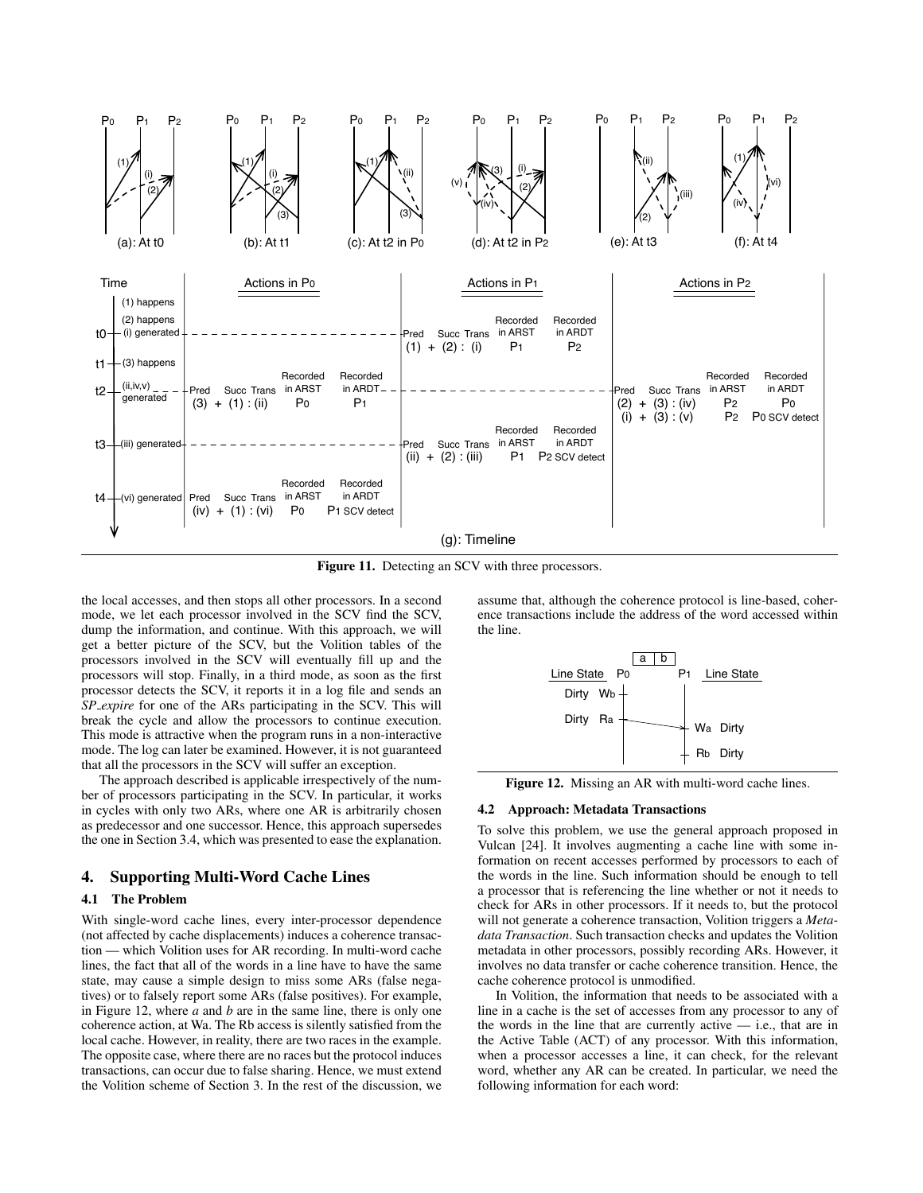

Figure 11. Detecting an SCV with three processors.

the local accesses, and then stops all other processors. In a second mode, we let each processor involved in the SCV find the SCV, dump the information, and continue. With this approach, we will get a better picture of the SCV, but the Volition tables of the processors involved in the SCV will eventually fill up and the processors will stop. Finally, in a third mode, as soon as the first processor detects the SCV, it reports it in a log file and sends an *SP expire* for one of the ARs participating in the SCV. This will break the cycle and allow the processors to continue execution. This mode is attractive when the program runs in a non-interactive mode. The log can later be examined. However, it is not guaranteed that all the processors in the SCV will suffer an exception.

The approach described is applicable irrespectively of the number of processors participating in the SCV. In particular, it works in cycles with only two ARs, where one AR is arbitrarily chosen as predecessor and one successor. Hence, this approach supersedes the one in Section 3.4, which was presented to ease the explanation.

# 4. Supporting Multi-Word Cache Lines

#### 4.1 The Problem

With single-word cache lines, every inter-processor dependence (not affected by cache displacements) induces a coherence transaction — which Volition uses for AR recording. In multi-word cache lines, the fact that all of the words in a line have to have the same state, may cause a simple design to miss some ARs (false negatives) or to falsely report some ARs (false positives). For example, in Figure 12, where *a* and *b* are in the same line, there is only one coherence action, at Wa. The Rb access is silently satisfied from the local cache. However, in reality, there are two races in the example. The opposite case, where there are no races but the protocol induces transactions, can occur due to false sharing. Hence, we must extend the Volition scheme of Section 3. In the rest of the discussion, we assume that, although the coherence protocol is line-based, coherence transactions include the address of the word accessed within the line.



Figure 12. Missing an AR with multi-word cache lines.

### 4.2 Approach: Metadata Transactions

To solve this problem, we use the general approach proposed in Vulcan [24]. It involves augmenting a cache line with some information on recent accesses performed by processors to each of the words in the line. Such information should be enough to tell a processor that is referencing the line whether or not it needs to check for ARs in other processors. If it needs to, but the protocol will not generate a coherence transaction, Volition triggers a *Metadata Transaction*. Such transaction checks and updates the Volition metadata in other processors, possibly recording ARs. However, it involves no data transfer or cache coherence transition. Hence, the cache coherence protocol is unmodified.

In Volition, the information that needs to be associated with a line in a cache is the set of accesses from any processor to any of the words in the line that are currently active — i.e., that are in the Active Table (ACT) of any processor. With this information, when a processor accesses a line, it can check, for the relevant word, whether any AR can be created. In particular, we need the following information for each word: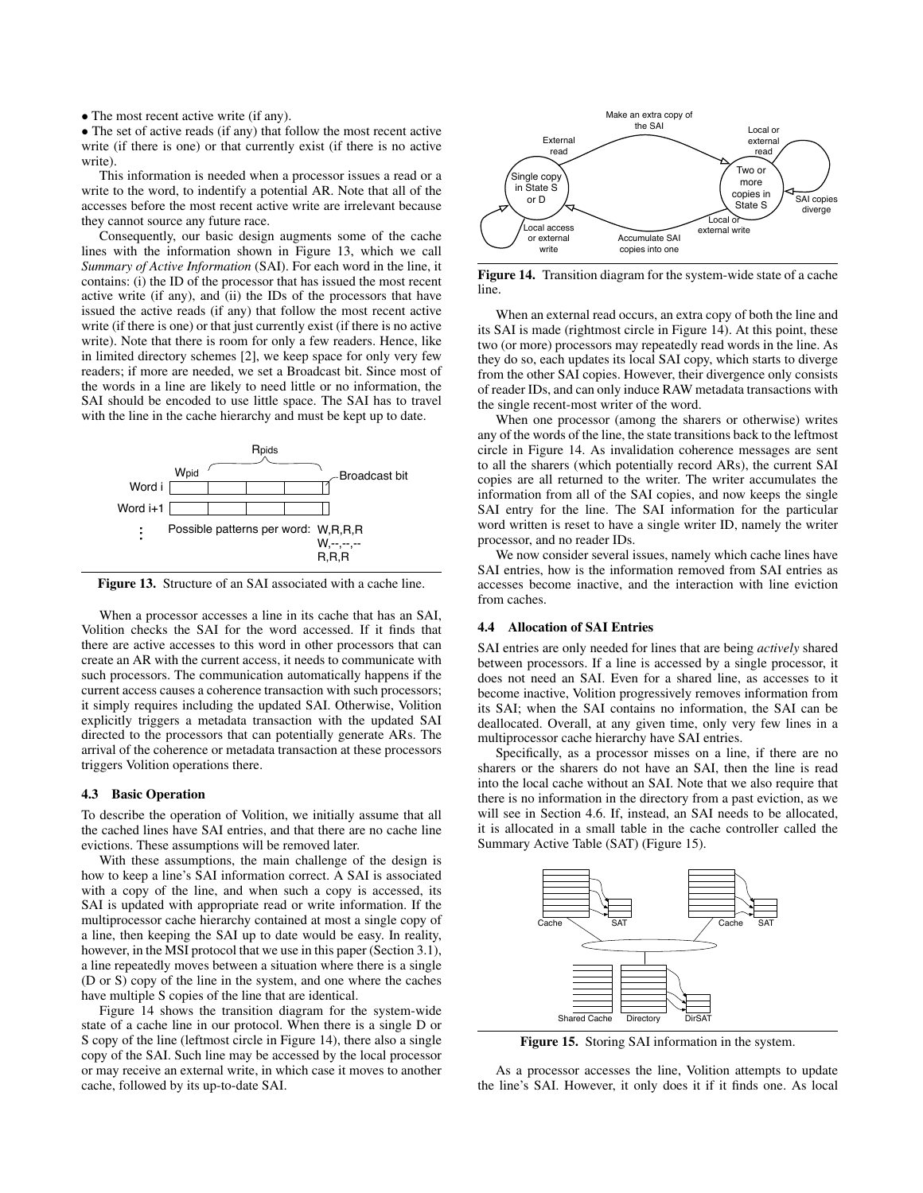• The most recent active write (if any).

• The set of active reads (if any) that follow the most recent active write (if there is one) or that currently exist (if there is no active write).

This information is needed when a processor issues a read or a write to the word, to indentify a potential AR. Note that all of the accesses before the most recent active write are irrelevant because they cannot source any future race.

Consequently, our basic design augments some of the cache lines with the information shown in Figure 13, which we call *Summary of Active Information* (SAI). For each word in the line, it contains: (i) the ID of the processor that has issued the most recent active write (if any), and (ii) the IDs of the processors that have issued the active reads (if any) that follow the most recent active write (if there is one) or that just currently exist (if there is no active write). Note that there is room for only a few readers. Hence, like in limited directory schemes [2], we keep space for only very few readers; if more are needed, we set a Broadcast bit. Since most of the words in a line are likely to need little or no information, the SAI should be encoded to use little space. The SAI has to travel with the line in the cache hierarchy and must be kept up to date.



Figure 13. Structure of an SAI associated with a cache line.

When a processor accesses a line in its cache that has an SAI, Volition checks the SAI for the word accessed. If it finds that there are active accesses to this word in other processors that can create an AR with the current access, it needs to communicate with such processors. The communication automatically happens if the current access causes a coherence transaction with such processors; it simply requires including the updated SAI. Otherwise, Volition explicitly triggers a metadata transaction with the updated SAI directed to the processors that can potentially generate ARs. The arrival of the coherence or metadata transaction at these processors triggers Volition operations there.

## 4.3 Basic Operation

To describe the operation of Volition, we initially assume that all the cached lines have SAI entries, and that there are no cache line evictions. These assumptions will be removed later.

With these assumptions, the main challenge of the design is how to keep a line's SAI information correct. A SAI is associated with a copy of the line, and when such a copy is accessed, its SAI is updated with appropriate read or write information. If the multiprocessor cache hierarchy contained at most a single copy of a line, then keeping the SAI up to date would be easy. In reality, however, in the MSI protocol that we use in this paper (Section 3.1), a line repeatedly moves between a situation where there is a single (D or S) copy of the line in the system, and one where the caches have multiple S copies of the line that are identical.

Figure 14 shows the transition diagram for the system-wide state of a cache line in our protocol. When there is a single D or S copy of the line (leftmost circle in Figure 14), there also a single copy of the SAI. Such line may be accessed by the local processor or may receive an external write, in which case it moves to another cache, followed by its up-to-date SAI.



Figure 14. Transition diagram for the system-wide state of a cache line.

When an external read occurs, an extra copy of both the line and its SAI is made (rightmost circle in Figure 14). At this point, these two (or more) processors may repeatedly read words in the line. As they do so, each updates its local SAI copy, which starts to diverge from the other SAI copies. However, their divergence only consists of reader IDs, and can only induce RAW metadata transactions with the single recent-most writer of the word.

When one processor (among the sharers or otherwise) writes any of the words of the line, the state transitions back to the leftmost circle in Figure 14. As invalidation coherence messages are sent to all the sharers (which potentially record ARs), the current SAI copies are all returned to the writer. The writer accumulates the information from all of the SAI copies, and now keeps the single SAI entry for the line. The SAI information for the particular word written is reset to have a single writer ID, namely the writer processor, and no reader IDs.

We now consider several issues, namely which cache lines have SAI entries, how is the information removed from SAI entries as accesses become inactive, and the interaction with line eviction from caches.

#### 4.4 Allocation of SAI Entries

SAI entries are only needed for lines that are being *actively* shared between processors. If a line is accessed by a single processor, it does not need an SAI. Even for a shared line, as accesses to it become inactive, Volition progressively removes information from its SAI; when the SAI contains no information, the SAI can be deallocated. Overall, at any given time, only very few lines in a multiprocessor cache hierarchy have SAI entries.

Specifically, as a processor misses on a line, if there are no sharers or the sharers do not have an SAI, then the line is read into the local cache without an SAI. Note that we also require that there is no information in the directory from a past eviction, as we will see in Section 4.6. If, instead, an SAI needs to be allocated, it is allocated in a small table in the cache controller called the Summary Active Table (SAT) (Figure 15).



Figure 15. Storing SAI information in the system.

As a processor accesses the line, Volition attempts to update the line's SAI. However, it only does it if it finds one. As local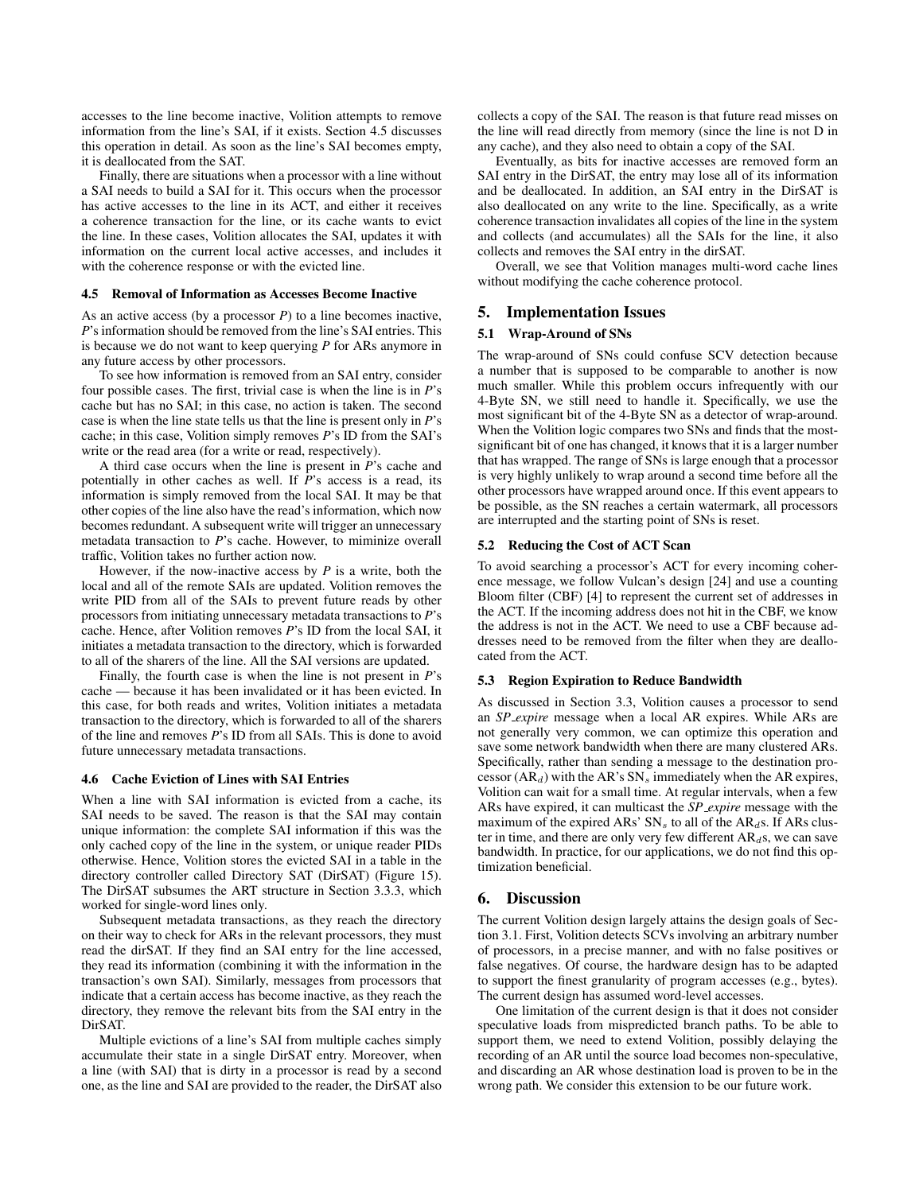accesses to the line become inactive, Volition attempts to remove information from the line's SAI, if it exists. Section 4.5 discusses this operation in detail. As soon as the line's SAI becomes empty, it is deallocated from the SAT.

Finally, there are situations when a processor with a line without a SAI needs to build a SAI for it. This occurs when the processor has active accesses to the line in its ACT, and either it receives a coherence transaction for the line, or its cache wants to evict the line. In these cases, Volition allocates the SAI, updates it with information on the current local active accesses, and includes it with the coherence response or with the evicted line.

#### 4.5 Removal of Information as Accesses Become Inactive

As an active access (by a processor *P*) to a line becomes inactive, *P*'s information should be removed from the line's SAI entries. This is because we do not want to keep querying *P* for ARs anymore in any future access by other processors.

To see how information is removed from an SAI entry, consider four possible cases. The first, trivial case is when the line is in *P*'s cache but has no SAI; in this case, no action is taken. The second case is when the line state tells us that the line is present only in *P*'s cache; in this case, Volition simply removes *P*'s ID from the SAI's write or the read area (for a write or read, respectively).

A third case occurs when the line is present in *P*'s cache and potentially in other caches as well. If *P*'s access is a read, its information is simply removed from the local SAI. It may be that other copies of the line also have the read's information, which now becomes redundant. A subsequent write will trigger an unnecessary metadata transaction to *P*'s cache. However, to miminize overall traffic, Volition takes no further action now.

However, if the now-inactive access by  $P$  is a write, both the local and all of the remote SAIs are updated. Volition removes the write PID from all of the SAIs to prevent future reads by other processors from initiating unnecessary metadata transactions to *P*'s cache. Hence, after Volition removes *P*'s ID from the local SAI, it initiates a metadata transaction to the directory, which is forwarded to all of the sharers of the line. All the SAI versions are updated.

Finally, the fourth case is when the line is not present in *P*'s cache — because it has been invalidated or it has been evicted. In this case, for both reads and writes, Volition initiates a metadata transaction to the directory, which is forwarded to all of the sharers of the line and removes *P*'s ID from all SAIs. This is done to avoid future unnecessary metadata transactions.

#### 4.6 Cache Eviction of Lines with SAI Entries

When a line with SAI information is evicted from a cache, its SAI needs to be saved. The reason is that the SAI may contain unique information: the complete SAI information if this was the only cached copy of the line in the system, or unique reader PIDs otherwise. Hence, Volition stores the evicted SAI in a table in the directory controller called Directory SAT (DirSAT) (Figure 15). The DirSAT subsumes the ART structure in Section 3.3.3, which worked for single-word lines only.

Subsequent metadata transactions, as they reach the directory on their way to check for ARs in the relevant processors, they must read the dirSAT. If they find an SAI entry for the line accessed, they read its information (combining it with the information in the transaction's own SAI). Similarly, messages from processors that indicate that a certain access has become inactive, as they reach the directory, they remove the relevant bits from the SAI entry in the DirSAT.

Multiple evictions of a line's SAI from multiple caches simply accumulate their state in a single DirSAT entry. Moreover, when a line (with SAI) that is dirty in a processor is read by a second one, as the line and SAI are provided to the reader, the DirSAT also collects a copy of the SAI. The reason is that future read misses on the line will read directly from memory (since the line is not D in any cache), and they also need to obtain a copy of the SAI.

Eventually, as bits for inactive accesses are removed form an SAI entry in the DirSAT, the entry may lose all of its information and be deallocated. In addition, an SAI entry in the DirSAT is also deallocated on any write to the line. Specifically, as a write coherence transaction invalidates all copies of the line in the system and collects (and accumulates) all the SAIs for the line, it also collects and removes the SAI entry in the dirSAT.

Overall, we see that Volition manages multi-word cache lines without modifying the cache coherence protocol.

## 5. Implementation Issues

#### 5.1 Wrap-Around of SNs

The wrap-around of SNs could confuse SCV detection because a number that is supposed to be comparable to another is now much smaller. While this problem occurs infrequently with our 4-Byte SN, we still need to handle it. Specifically, we use the most significant bit of the 4-Byte SN as a detector of wrap-around. When the Volition logic compares two SNs and finds that the mostsignificant bit of one has changed, it knows that it is a larger number that has wrapped. The range of SNs is large enough that a processor is very highly unlikely to wrap around a second time before all the other processors have wrapped around once. If this event appears to be possible, as the SN reaches a certain watermark, all processors are interrupted and the starting point of SNs is reset.

#### 5.2 Reducing the Cost of ACT Scan

To avoid searching a processor's ACT for every incoming coherence message, we follow Vulcan's design [24] and use a counting Bloom filter (CBF) [4] to represent the current set of addresses in the ACT. If the incoming address does not hit in the CBF, we know the address is not in the ACT. We need to use a CBF because addresses need to be removed from the filter when they are deallocated from the ACT.

## 5.3 Region Expiration to Reduce Bandwidth

As discussed in Section 3.3, Volition causes a processor to send an *SP expire* message when a local AR expires. While ARs are not generally very common, we can optimize this operation and save some network bandwidth when there are many clustered ARs. Specifically, rather than sending a message to the destination processor ( $AR_d$ ) with the AR's  $SN_s$  immediately when the AR expires, Volition can wait for a small time. At regular intervals, when a few ARs have expired, it can multicast the *SP expire* message with the maximum of the expired ARs'  $SN_s$  to all of the AR<sub>d</sub>s. If ARs cluster in time, and there are only very few different  $AR_d$ s, we can save bandwidth. In practice, for our applications, we do not find this optimization beneficial.

#### 6. Discussion

The current Volition design largely attains the design goals of Section 3.1. First, Volition detects SCVs involving an arbitrary number of processors, in a precise manner, and with no false positives or false negatives. Of course, the hardware design has to be adapted to support the finest granularity of program accesses (e.g., bytes). The current design has assumed word-level accesses.

One limitation of the current design is that it does not consider speculative loads from mispredicted branch paths. To be able to support them, we need to extend Volition, possibly delaying the recording of an AR until the source load becomes non-speculative, and discarding an AR whose destination load is proven to be in the wrong path. We consider this extension to be our future work.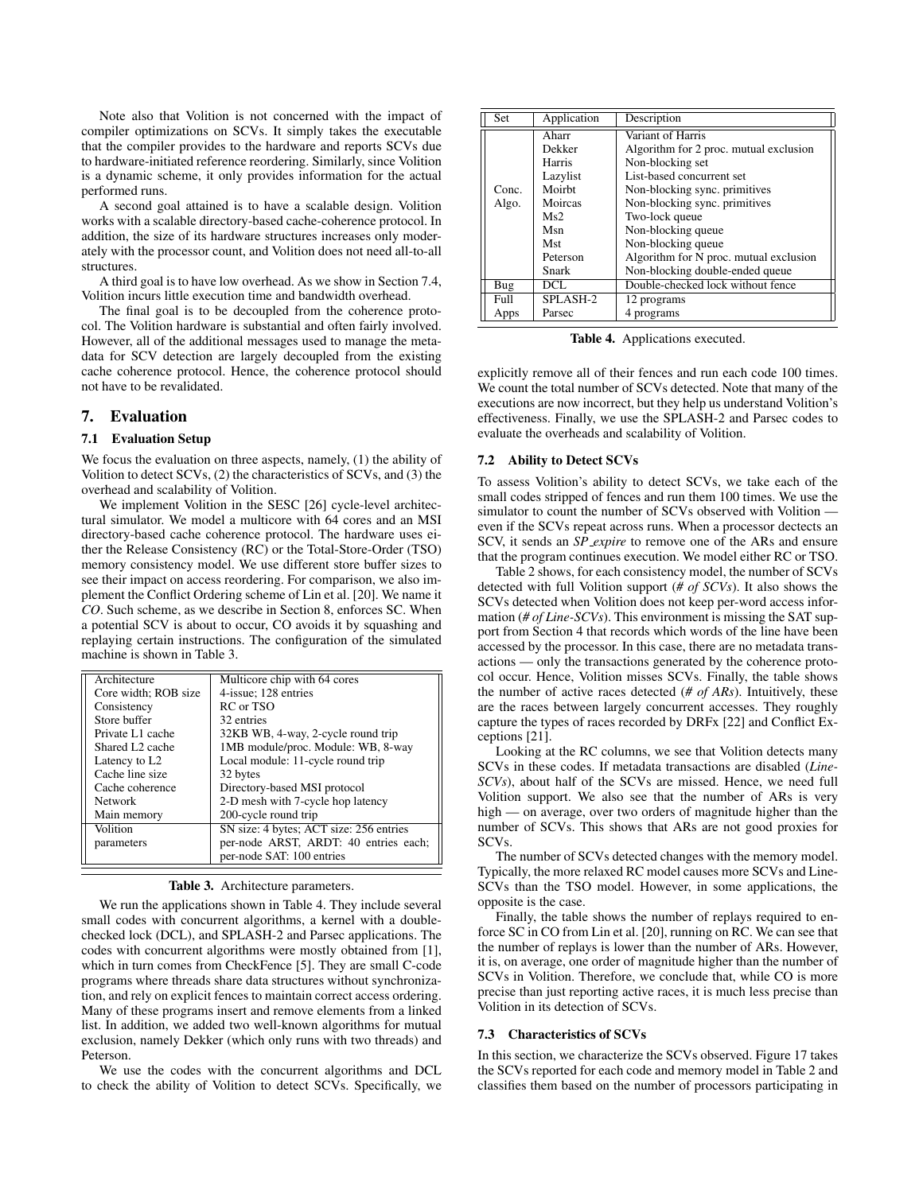Note also that Volition is not concerned with the impact of compiler optimizations on SCVs. It simply takes the executable that the compiler provides to the hardware and reports SCVs due to hardware-initiated reference reordering. Similarly, since Volition is a dynamic scheme, it only provides information for the actual performed runs.

A second goal attained is to have a scalable design. Volition works with a scalable directory-based cache-coherence protocol. In addition, the size of its hardware structures increases only moderately with the processor count, and Volition does not need all-to-all structures.

A third goal is to have low overhead. As we show in Section 7.4, Volition incurs little execution time and bandwidth overhead.

The final goal is to be decoupled from the coherence protocol. The Volition hardware is substantial and often fairly involved. However, all of the additional messages used to manage the metadata for SCV detection are largely decoupled from the existing cache coherence protocol. Hence, the coherence protocol should not have to be revalidated.

# 7. Evaluation

# 7.1 Evaluation Setup

We focus the evaluation on three aspects, namely, (1) the ability of Volition to detect SCVs, (2) the characteristics of SCVs, and (3) the overhead and scalability of Volition.

We implement Volition in the SESC [26] cycle-level architectural simulator. We model a multicore with 64 cores and an MSI directory-based cache coherence protocol. The hardware uses either the Release Consistency (RC) or the Total-Store-Order (TSO) memory consistency model. We use different store buffer sizes to see their impact on access reordering. For comparison, we also implement the Conflict Ordering scheme of Lin et al. [20]. We name it *CO*. Such scheme, as we describe in Section 8, enforces SC. When a potential SCV is about to occur, CO avoids it by squashing and replaying certain instructions. The configuration of the simulated machine is shown in Table 3.

| Architecture                | Multicore chip with 64 cores            |  |  |  |
|-----------------------------|-----------------------------------------|--|--|--|
| Core width; ROB size        | 4-issue; 128 entries                    |  |  |  |
| Consistency                 | RC or TSO                               |  |  |  |
| Store buffer                | 32 entries                              |  |  |  |
| Private L1 cache            | 32KB WB, 4-way, 2-cycle round trip      |  |  |  |
| Shared L <sub>2</sub> cache | 1MB module/proc. Module: WB, 8-way      |  |  |  |
| Latency to L2               | Local module: 11-cycle round trip       |  |  |  |
| Cache line size             | 32 bytes                                |  |  |  |
| Cache coherence             | Directory-based MSI protocol            |  |  |  |
| <b>Network</b>              | 2-D mesh with 7-cycle hop latency       |  |  |  |
| Main memory                 | 200-cycle round trip                    |  |  |  |
| Volition                    | SN size: 4 bytes; ACT size: 256 entries |  |  |  |
| parameters                  | per-node ARST, ARDT: 40 entries each;   |  |  |  |
|                             | per-node SAT: 100 entries               |  |  |  |

## Table 3. Architecture parameters.

We run the applications shown in Table 4. They include several small codes with concurrent algorithms, a kernel with a doublechecked lock (DCL), and SPLASH-2 and Parsec applications. The codes with concurrent algorithms were mostly obtained from [1], which in turn comes from CheckFence [5]. They are small C-code programs where threads share data structures without synchronization, and rely on explicit fences to maintain correct access ordering. Many of these programs insert and remove elements from a linked list. In addition, we added two well-known algorithms for mutual exclusion, namely Dekker (which only runs with two threads) and Peterson.

We use the codes with the concurrent algorithms and DCL to check the ability of Volition to detect SCVs. Specifically, we

| Set   | Application | Description                            |  |  |
|-------|-------------|----------------------------------------|--|--|
|       | Aharr       | Variant of Harris                      |  |  |
|       | Dekker      | Algorithm for 2 proc. mutual exclusion |  |  |
|       | Harris      | Non-blocking set                       |  |  |
|       | Lazylist    | List-based concurrent set              |  |  |
| Conc. | Moirbt      | Non-blocking sync. primitives          |  |  |
| Algo. | Moircas     | Non-blocking sync. primitives          |  |  |
|       | Ms2         | Two-lock queue                         |  |  |
|       | Msn         | Non-blocking queue                     |  |  |
|       | Mst         | Non-blocking queue                     |  |  |
|       | Peterson    | Algorithm for N proc. mutual exclusion |  |  |
|       | Snark       | Non-blocking double-ended queue        |  |  |
| Bug   | DCL.        | Double-checked lock without fence      |  |  |
| Full  | SPLASH-2    | 12 programs                            |  |  |
| Apps  | Parsec      | 4 programs                             |  |  |

Table 4. Applications executed.

explicitly remove all of their fences and run each code 100 times. We count the total number of SCVs detected. Note that many of the executions are now incorrect, but they help us understand Volition's effectiveness. Finally, we use the SPLASH-2 and Parsec codes to evaluate the overheads and scalability of Volition.

## 7.2 Ability to Detect SCVs

To assess Volition's ability to detect SCVs, we take each of the small codes stripped of fences and run them 100 times. We use the simulator to count the number of SCVs observed with Volition even if the SCVs repeat across runs. When a processor dectects an SCV, it sends an *SP expire* to remove one of the ARs and ensure that the program continues execution. We model either RC or TSO.

Table 2 shows, for each consistency model, the number of SCVs detected with full Volition support (*# of SCVs*). It also shows the SCVs detected when Volition does not keep per-word access information (*# of Line-SCVs*). This environment is missing the SAT support from Section 4 that records which words of the line have been accessed by the processor. In this case, there are no metadata transactions — only the transactions generated by the coherence protocol occur. Hence, Volition misses SCVs. Finally, the table shows the number of active races detected (*# of ARs*). Intuitively, these are the races between largely concurrent accesses. They roughly capture the types of races recorded by DRFx [22] and Conflict Exceptions [21].

Looking at the RC columns, we see that Volition detects many SCVs in these codes. If metadata transactions are disabled (*Line-SCVs*), about half of the SCVs are missed. Hence, we need full Volition support. We also see that the number of ARs is very high — on average, over two orders of magnitude higher than the number of SCVs. This shows that ARs are not good proxies for SCVs.

The number of SCVs detected changes with the memory model. Typically, the more relaxed RC model causes more SCVs and Line-SCVs than the TSO model. However, in some applications, the opposite is the case.

Finally, the table shows the number of replays required to enforce SC in CO from Lin et al. [20], running on RC. We can see that the number of replays is lower than the number of ARs. However, it is, on average, one order of magnitude higher than the number of SCVs in Volition. Therefore, we conclude that, while CO is more precise than just reporting active races, it is much less precise than Volition in its detection of SCVs.

## 7.3 Characteristics of SCVs

In this section, we characterize the SCVs observed. Figure 17 takes the SCVs reported for each code and memory model in Table 2 and classifies them based on the number of processors participating in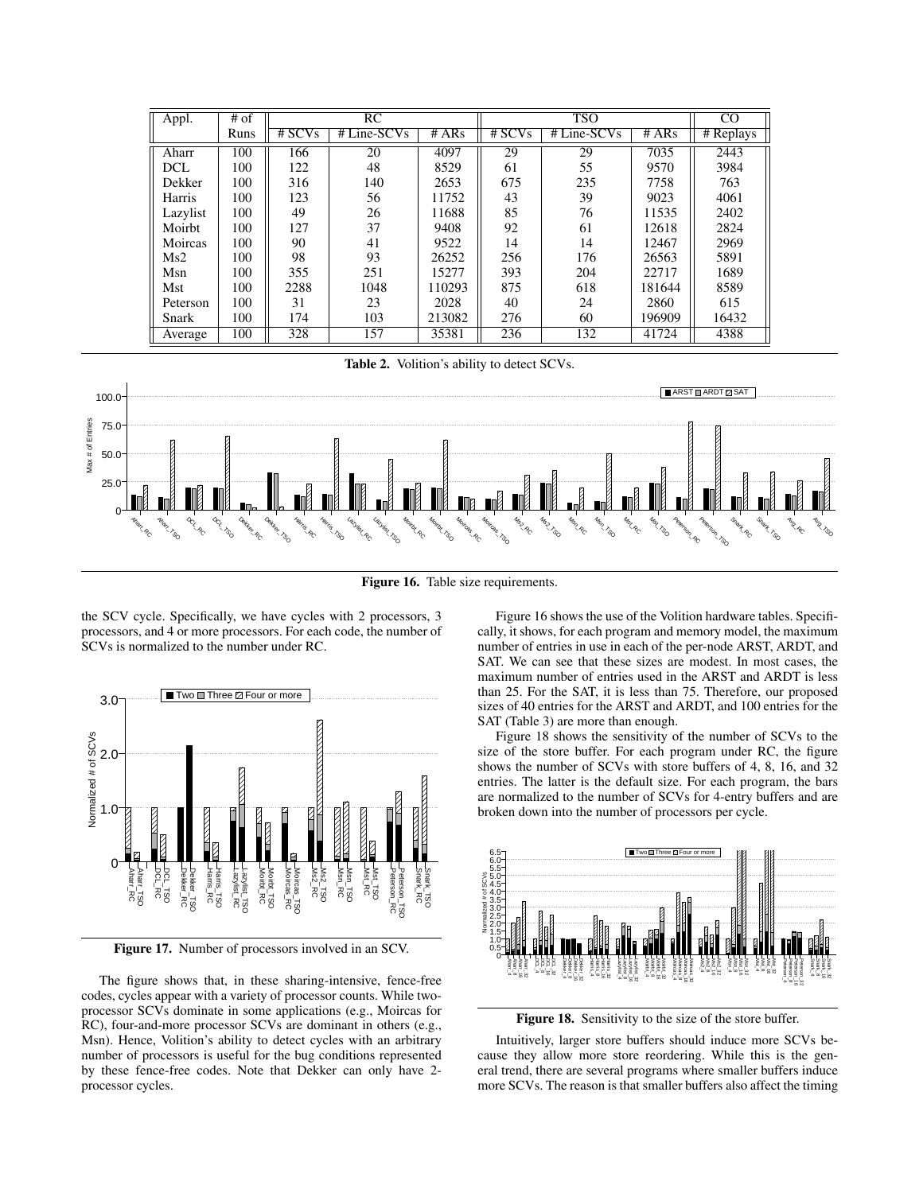| Appl.      | $#$ of | $\overline{RC}$ |                | <b>TSO</b> |          |               | $_{\rm CO}$ |             |
|------------|--------|-----------------|----------------|------------|----------|---------------|-------------|-------------|
|            | Runs   | $#$ SCVs        | # Line- $SCVs$ | #ARs       | $#$ SCVs | $# Line-SCVs$ | #ARs        | $#$ Replays |
| Aharr      | 100    | 166             | 20             | 4097       | 29       | 29            | 7035        | 2443        |
| <b>DCL</b> | 100    | 122             | 48             | 8529       | 61       | 55            | 9570        | 3984        |
| Dekker     | 100    | 316             | 140            | 2653       | 675      | 235           | 7758        | 763         |
| Harris     | 100    | 123             | 56             | 11752      | 43       | 39            | 9023        | 4061        |
| Lazylist   | 100    | 49              | 26             | 11688      | 85       | 76            | 11535       | 2402        |
| Moirbt     | 100    | 127             | 37             | 9408       | 92       | 61            | 12618       | 2824        |
| Moircas    | 100    | 90              | 41             | 9522       | 14       | 14            | 12467       | 2969        |
| Ms2        | 100    | 98              | 93             | 26252      | 256      | 176           | 26563       | 5891        |
| Msn        | 100    | 355             | 251            | 15277      | 393      | 204           | 22717       | 1689        |
| Mst        | 100    | 2288            | 1048           | 110293     | 875      | 618           | 181644      | 8589        |
| Peterson   | 100    | 31              | 23             | 2028       | 40       | 24            | 2860        | 615         |
| Snark      | 100    | 174             | 103            | 213082     | 276      | 60            | 196909      | 16432       |
| Average    | 100    | 328             | 157            | 35381      | 236      | 132           | 41724       | 4388        |

Table 2. Volition's ability to detect SCVs.



Figure 16. Table size requirements.

the SCV cycle. Specifically, we have cycles with 2 processors, 3 processors, and 4 or more processors. For each code, the number of SCVs is normalized to the number under RC.



Figure 17. Number of processors involved in an SCV.

The figure shows that, in these sharing-intensive, fence-free codes, cycles appear with a variety of processor counts. While twoprocessor SCVs dominate in some applications (e.g., Moircas for RC), four-and-more processor SCVs are dominant in others (e.g., Msn). Hence, Volition's ability to detect cycles with an arbitrary number of processors is useful for the bug conditions represented by these fence-free codes. Note that Dekker can only have 2 processor cycles.

Figure 16 shows the use of the Volition hardware tables. Specifically, it shows, for each program and memory model, the maximum number of entries in use in each of the per-node ARST, ARDT, and SAT. We can see that these sizes are modest. In most cases, the maximum number of entries used in the ARST and ARDT is less than 25. For the SAT, it is less than 75. Therefore, our proposed sizes of 40 entries for the ARST and ARDT, and 100 entries for the SAT (Table 3) are more than enough.

Figure 18 shows the sensitivity of the number of SCVs to the size of the store buffer. For each program under RC, the figure shows the number of SCVs with store buffers of 4, 8, 16, and 32 entries. The latter is the default size. For each program, the bars are normalized to the number of SCVs for 4-entry buffers and are broken down into the number of processors per cycle.



Figure 18. Sensitivity to the size of the store buffer.

Intuitively, larger store buffers should induce more SCVs because they allow more store reordering. While this is the general trend, there are several programs where smaller buffers induce more SCVs. The reason is that smaller buffers also affect the timing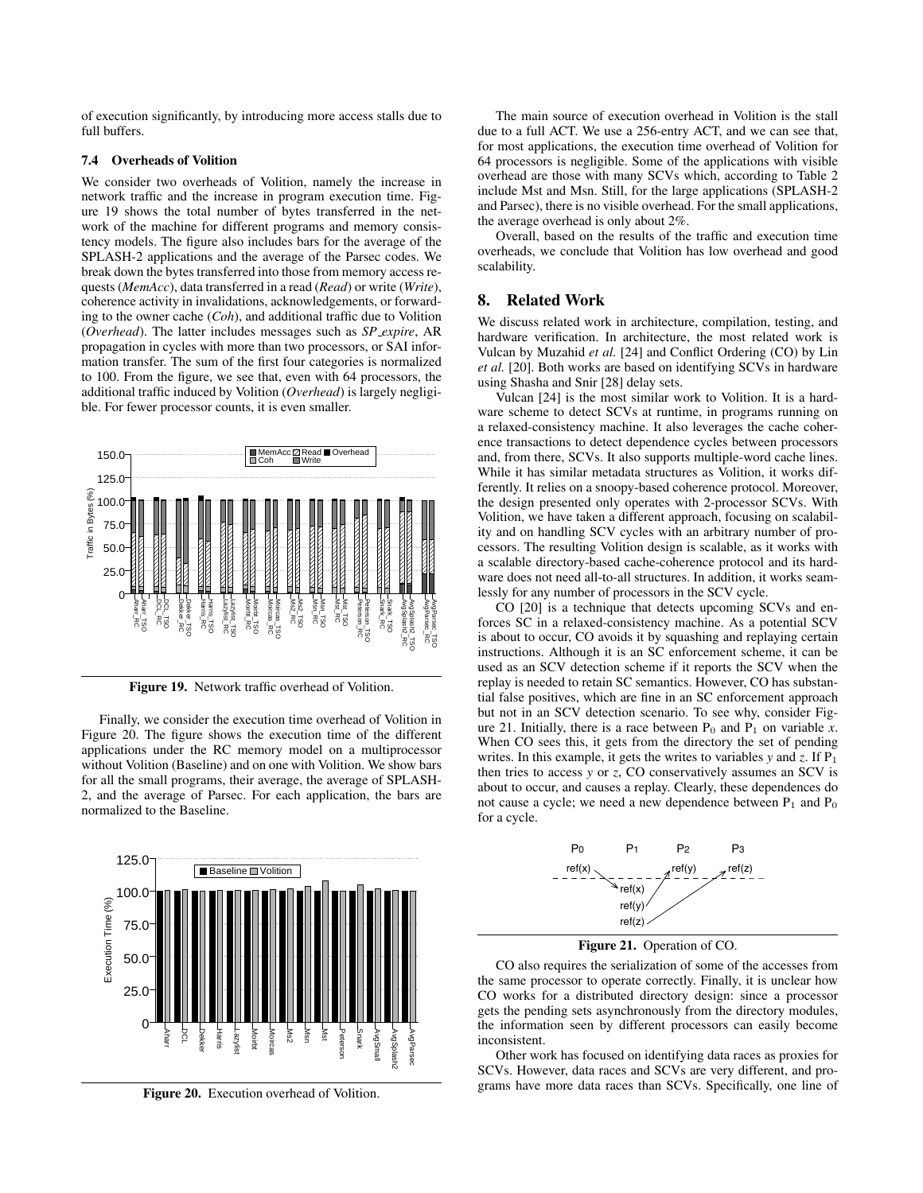of execution significantly, by introducing more access stalls due to full buffers.

## 7.4 Overheads of Volition

We consider two overheads of Volition, namely the increase in network traffic and the increase in program execution time. Figure 19 shows the total number of bytes transferred in the network of the machine for different programs and memory consistency models. The figure also includes bars for the average of the SPLASH-2 applications and the average of the Parsec codes. We break down the bytes transferred into those from memory access requests (*MemAcc*), data transferred in a read (*Read*) or write (*Write*), coherence activity in invalidations, acknowledgements, or forwarding to the owner cache (*Coh*), and additional traffic due to Volition (*Overhead*). The latter includes messages such as *SP expire*, AR propagation in cycles with more than two processors, or SAI information transfer. The sum of the first four categories is normalized to 100. From the figure, we see that, even with 64 processors, the additional traffic induced by Volition (*Overhead*) is largely negligible. For fewer processor counts, it is even smaller.



Figure 19. Network traffic overhead of Volition.

Finally, we consider the execution time overhead of Volition in Figure 20. The figure shows the execution time of the different applications under the RC memory model on a multiprocessor without Volition (Baseline) and on one with Volition. We show bars for all the small programs, their average, the average of SPLASH-2, and the average of Parsec. For each application, the bars are normalized to the Baseline.





The main source of execution overhead in Volition is the stall due to a full ACT. We use a 256-entry ACT, and we can see that, for most applications, the execution time overhead of Volition for 64 processors is negligible. Some of the applications with visible overhead are those with many SCVs which, according to Table 2 include Mst and Msn. Still, for the large applications (SPLASH-2 and Parsec), there is no visible overhead. For the small applications, the average overhead is only about 2%.

Overall, based on the results of the traffic and execution time overheads, we conclude that Volition has low overhead and good scalability.

# 8. Related Work

We discuss related work in architecture, compilation, testing, and hardware verification. In architecture, the most related work is Vulcan by Muzahid *et al.* [24] and Conflict Ordering (CO) by Lin *et al.* [20]. Both works are based on identifying SCVs in hardware using Shasha and Snir [28] delay sets.

Vulcan [24] is the most similar work to Volition. It is a hardware scheme to detect SCVs at runtime, in programs running on a relaxed-consistency machine. It also leverages the cache coherence transactions to detect dependence cycles between processors and, from there, SCVs. It also supports multiple-word cache lines. While it has similar metadata structures as Volition, it works differently. It relies on a snoopy-based coherence protocol. Moreover, the design presented only operates with 2-processor SCVs. With Volition, we have taken a different approach, focusing on scalability and on handling SCV cycles with an arbitrary number of processors. The resulting Volition design is scalable, as it works with a scalable directory-based cache-coherence protocol and its hardware does not need all-to-all structures. In addition, it works seamlessly for any number of processors in the SCV cycle.

CO [20] is a technique that detects upcoming SCVs and enforces SC in a relaxed-consistency machine. As a potential SCV is about to occur, CO avoids it by squashing and replaying certain instructions. Although it is an SC enforcement scheme, it can be used as an SCV detection scheme if it reports the SCV when the replay is needed to retain SC semantics. However, CO has substantial false positives, which are fine in an SC enforcement approach but not in an SCV detection scenario. To see why, consider Figure 21. Initially, there is a race between  $P_0$  and  $P_1$  on variable *x*. When CO sees this, it gets from the directory the set of pending writes. In this example, it gets the writes to variables  $y$  and  $z$ . If  $P_1$ then tries to access *y* or *z*, CO conservatively assumes an SCV is about to occur, and causes a replay. Clearly, these dependences do not cause a cycle; we need a new dependence between  $P_1$  and  $P_0$ for a cycle.



Figure 21. Operation of CO.

CO also requires the serialization of some of the accesses from the same processor to operate correctly. Finally, it is unclear how CO works for a distributed directory design: since a processor gets the pending sets asynchronously from the directory modules, the information seen by different processors can easily become inconsistent.

Other work has focused on identifying data races as proxies for SCVs. However, data races and SCVs are very different, and programs have more data races than SCVs. Specifically, one line of